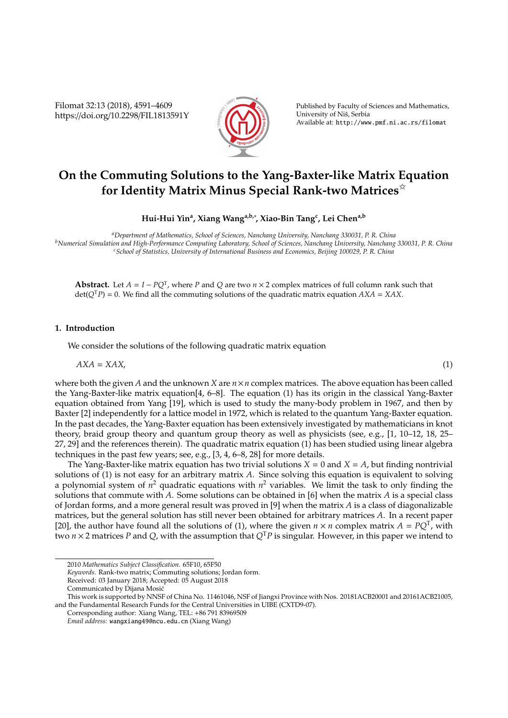Filomat 32:13 (2018), 4591–4609 https://doi.org/10.2298/FIL1813591Y



Published by Faculty of Sciences and Mathematics, University of Niš, Serbia Available at: http://www.pmf.ni.ac.rs/filomat

# **On the Commuting Solutions to the Yang-Baxter-like Matrix Equation for Identity Matrix Minus Special Rank-two Matrices**✩

**Hui-Hui Yin<sup>a</sup> , Xiang Wanga,b,**<sup>∗</sup> **, Xiao-Bin Tang<sup>c</sup> , Lei Chena,b**

*<sup>a</sup>Department of Mathematics, School of Sciences, Nanchang University, Nanchang 330031, P. R. China <sup>b</sup>Numerical Simulation and High-Performance Computing Laboratory, School of Sciences, Nanchang University, Nanchang 330031, P. R. China <sup>c</sup>School of Statistics, University of International Business and Economics, Beijing 100029, P. R. China*

**Abstract.** Let  $A = I - PQ^T$ , where *P* and *Q* are two  $n \times 2$  complex matrices of full column rank such that  $\det(Q^T P) = 0$ . We find all the commuting solutions of the quadratic matrix equation  $AXA = XAX$ .

### **1. Introduction**

We consider the solutions of the following quadratic matrix equation

$$
AXA = XAX,\tag{1}
$$

where both the given *A* and the unknown *X* are *n*×*n* complex matrices. The above equation has been called the Yang-Baxter-like matrix equation[4, 6–8]. The equation (1) has its origin in the classical Yang-Baxter equation obtained from Yang [19], which is used to study the many-body problem in 1967, and then by Baxter [2] independently for a lattice model in 1972, which is related to the quantum Yang-Baxter equation. In the past decades, the Yang-Baxter equation has been extensively investigated by mathematicians in knot theory, braid group theory and quantum group theory as well as physicists (see, e.g., [1, 10–12, 18, 25– 27, 29] and the references therein). The quadratic matrix equation (1) has been studied using linear algebra techniques in the past few years; see, e.g., [3, 4, 6–8, 28] for more details.

The Yang-Baxter-like matrix equation has two trivial solutions  $X = 0$  and  $X = A$ , but finding nontrivial solutions of (1) is not easy for an arbitrary matrix *A*. Since solving this equation is equivalent to solving a polynomial system of  $n^2$  quadratic equations with  $n^2$  variables. We limit the task to only finding the solutions that commute with *A*. Some solutions can be obtained in [6] when the matrix *A* is a special class of Jordan forms, and a more general result was proved in [9] when the matrix *A* is a class of diagonalizable matrices, but the general solution has still never been obtained for arbitrary matrices *A*. In a recent paper [20], the author have found all the solutions of (1), where the given  $n \times n$  complex matrix  $A = PQ^T$ , with two  $n \times 2$  matrices P and Q, with the assumption that  $Q^{T}P$  is singular. However, in this paper we intend to

2010 *Mathematics Subject Classification*. 65F10, 65F50

*Keywords*. Rank-two matrix; Commuting solutions; Jordan form.

Received: 03 January 2018; Accepted: 05 August 2018

Communicated by Dijana Mosic´

This work is supported by NNSF of China No. 11461046, NSF of Jiangxi Province with Nos. 20181ACB20001 and 20161ACB21005, and the Fundamental Research Funds for the Central Universities in UIBE (CXTD9-07).

Corresponding author: Xiang Wang, TEL: +86 791 83969509

*Email address:* wangxiang49@ncu.edu.cn (Xiang Wang)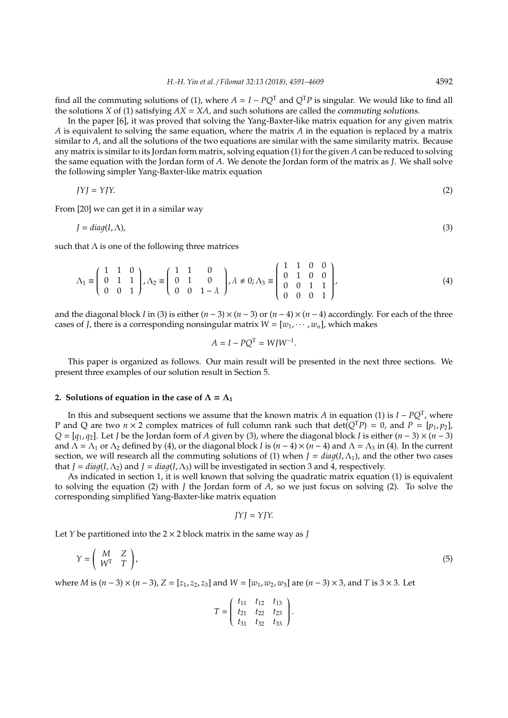find all the commuting solutions of (1), where  $A = I - PO^T$  and  $O^T P$  is singular. We would like to find all the solutions *X* of (1) satisfying *AX* = *XA*, and such solutions are called the commuting solutions.

In the paper [6], it was proved that solving the Yang-Baxter-like matrix equation for any given matrix *A* is equivalent to solving the same equation, where the matrix *A* in the equation is replaced by a matrix similar to *A*, and all the solutions of the two equations are similar with the same similarity matrix. Because any matrix is similar to its Jordan form matrix, solving equation (1) for the given *A* can be reduced to solving the same equation with the Jordan form of *A*. We denote the Jordan form of the matrix as *J*. We shall solve the following simpler Yang-Baxter-like matrix equation

$$
JYJ = YJY.
$$
 (2)

From [20] we can get it in a similar way

$$
J = diag(I, \Lambda), \tag{3}
$$

such that  $\Lambda$  is one of the following three matrices

$$
\Lambda_1 \equiv \begin{pmatrix} 1 & 1 & 0 \\ 0 & 1 & 1 \\ 0 & 0 & 1 \end{pmatrix}, \Lambda_2 \equiv \begin{pmatrix} 1 & 1 & 0 \\ 0 & 1 & 0 \\ 0 & 0 & 1 - \lambda \end{pmatrix}, \lambda \neq 0; \Lambda_3 \equiv \begin{pmatrix} 1 & 1 & 0 & 0 \\ 0 & 1 & 0 & 0 \\ 0 & 0 & 1 & 1 \\ 0 & 0 & 0 & 1 \end{pmatrix},
$$
(4)

and the diagonal block *I* in (3) is either  $(n-3) \times (n-3)$  or  $(n-4) \times (n-4)$  accordingly. For each of the three cases of *J*, there is a corresponding nonsingular matrix  $W = [w_1, \dots, w_n]$ , which makes

$$
A = I - PQ^{\mathrm{T}} = WJW^{-1}.
$$

This paper is organized as follows. Our main result will be presented in the next three sections. We present three examples of our solution result in Section 5.

#### **2.** Solutions of equation in the case of  $\Lambda = \Lambda_1$

In this and subsequent sections we assume that the known matrix *A* in equation (1) is *I* − *PQ*<sup>T</sup> , where P and Q are two  $n \times 2$  complex matrices of full column rank such that  $\det(Q^T P) = 0$ , and  $P = [p_1, p_2]$ ,  $Q = [q_1, q_2]$ . Let *J* be the Jordan form of *A* given by (3), where the diagonal block *I* is either  $(n - 3) \times (n - 3)$ and  $\Lambda = \Lambda_1$  or  $\Lambda_2$  defined by (4), or the diagonal block *I* is  $(n-4) \times (n-4)$  and  $\Lambda = \Lambda_3$  in (4). In the current section, we will research all the commuting solutions of (1) when  $J = diag(I, \Lambda_1)$ , and the other two cases that  $J = diag(I, \Lambda_2)$  and  $J = diag(I, \Lambda_3)$  will be investigated in section 3 and 4, respectively.

As indicated in section 1, it is well known that solving the quadratic matrix equation (1) is equivalent to solving the equation (2) with *J* the Jordan form of *A*, so we just focus on solving (2). To solve the corresponding simplified Yang-Baxter-like matrix equation

$$
JYJ = YJY.
$$

Let *Y* be partitioned into the  $2 \times 2$  block matrix in the same way as *J* 

$$
Y = \left(\begin{array}{cc} M & Z \\ W^T & T \end{array}\right),\tag{5}
$$

where *M* is  $(n-3) \times (n-3)$ ,  $Z = [z_1, z_2, z_3]$  and  $W = [w_1, w_2, w_3]$  are  $(n-3) \times 3$ , and *T* is  $3 \times 3$ . Let

$$
T = \left(\begin{array}{ccc} t_{11} & t_{12} & t_{13} \\ t_{21} & t_{22} & t_{23} \\ t_{31} & t_{32} & t_{33} \end{array}\right).
$$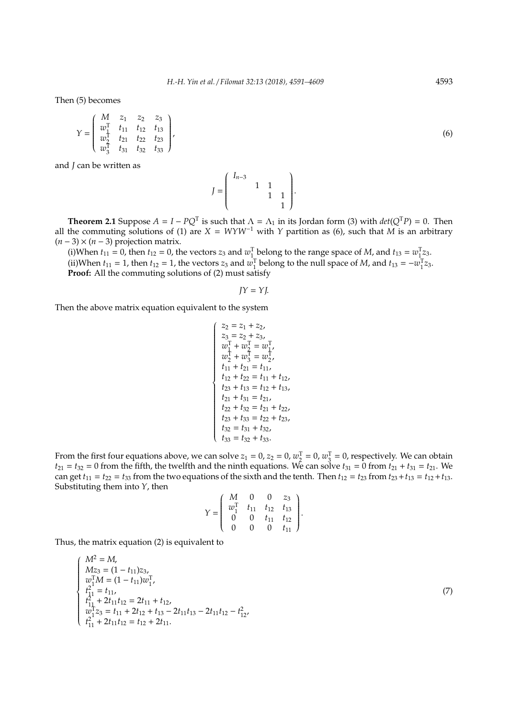Then (5) becomes

$$
Y = \begin{pmatrix} M & z_1 & z_2 & z_3 \\ w_1^T & t_{11} & t_{12} & t_{13} \\ w_2^T & t_{21} & t_{22} & t_{23} \\ w_3^T & t_{31} & t_{32} & t_{33} \end{pmatrix},
$$

and *J* can be written as

$$
J = \begin{pmatrix} I_{n-3} & & & \\ & 1 & 1 & \\ & & 1 & 1 \\ & & & 1 \end{pmatrix}.
$$

**Theorem 2.1** Suppose  $A = I - PQ^T$  is such that  $\Lambda = \Lambda_1$  in its Jordan form (3) with  $det(Q^T P) = 0$ . Then all the commuting solutions of (1) are  $X = WYW^{-1}$  with  $Y$  partition as (6), such that  $M$  is an arbitrary  $(n-3) \times (n-3)$  projection matrix.

(i)When  $t_{11} = 0$ , then  $t_{12} = 0$ , the vectors  $z_3$  and  $w_1^T$  belong to the range space of *M*, and  $t_{13} = w_1^T z_3$ . (ii)When  $t_{11} = 1$ , then  $t_{12} = 1$ , the vectors  $z_3$  and  $w_1^T$  belong to the null space of *M*, and  $t_{13} = -w_1^T z_3$ . **Proof:** All the commuting solutions of (2) must satisfy

$$
JY = YJ.
$$

Then the above matrix equation equivalent to the system

$$
\left\{\begin{array}{l} z_2=z_1+z_2,\\ z_3=z_2+z_3,\\ w_1^\mathrm{T}+w_2^\mathrm{T}=w_1^\mathrm{T},\\ w_2^\mathrm{T}+w_3^\mathrm{T}=w_2^\mathrm{T},\\ t_{11}+t_{21}=t_{11},\\ t_{12}+t_{22}=t_{11}+t_{12},\\ t_{23}+t_{13}=t_{12}+t_{13},\\ t_{21}+t_{31}=t_{21},\\ t_{22}+t_{32}=t_{21}+t_{22},\\ t_{23}+t_{33}=t_{22}+t_{23},\\ t_{32}=t_{31}+t_{32},\\ t_{33}=t_{32}+t_{33}.\\ \end{array}\right.
$$

From the first four equations above, we can solve  $z_1 = 0$ ,  $z_2 = 0$ ,  $w_2^T = 0$ ,  $w_3^T = 0$ , respectively. We can obtain  $t_{21} = t_{32} = 0$  from the fifth, the twelfth and the ninth equations. We can solve  $t_{31} = 0$  from  $t_{21} + t_{31} = t_{21}$ . We can get  $t_{11} = t_{22} = t_{33}$  from the two equations of the sixth and the tenth. Then  $t_{12} = t_{23}$  from  $t_{23} + t_{13} = t_{12} + t_{13}$ . Substituting them into *Y*, then

$$
Y = \left(\begin{array}{cccc} M & 0 & 0 & z_3 \\ w_1^T & t_{11} & t_{12} & t_{13} \\ 0 & 0 & t_{11} & t_{12} \\ 0 & 0 & 0 & t_{11} \end{array}\right).
$$

Thus, the matrix equation (2) is equivalent to

$$
\left\{\begin{array}{l} M^2=M,\\ Mz_3=(1-t_{11})z_3,\\ w_1^\mathrm{T}M=(1-t_{11})w_1^\mathrm{T},\\ t_{11}^2=t_{11},\\ t_{11}^2+2t_{11}t_{12}=2t_{11}+t_{12},\\ w_1^\mathrm{T}z_3=t_{11}+2t_{12}+t_{13}-2t_{11}t_{13}-2t_{11}t_{12}-t_{12}^2,\\ t_{11}^2+2t_{11}t_{12}=t_{12}+2t_{11}. \end{array}\right.
$$

(7)

,  $(6)$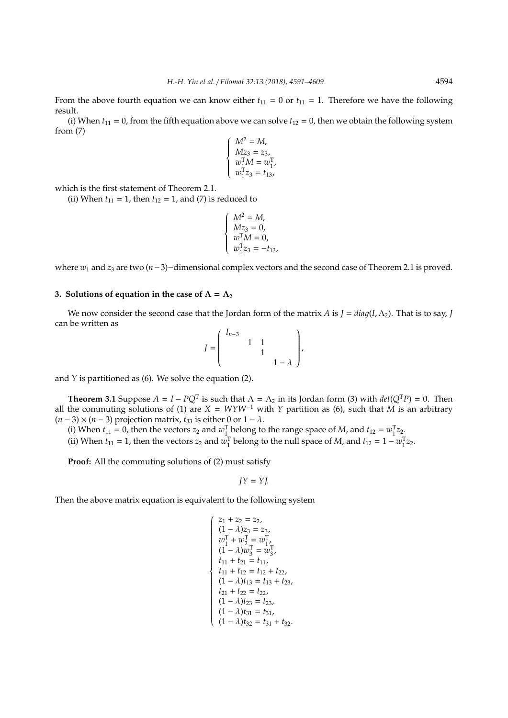From the above fourth equation we can know either  $t_{11} = 0$  or  $t_{11} = 1$ . Therefore we have the following result.

(i) When  $t_{11} = 0$ , from the fifth equation above we can solve  $t_{12} = 0$ , then we obtain the following system from (7)

$$
\begin{cases}\nM^2 = M, \\
Mz_3 = z_3, \\
w_1^{\text{T}}M = w_1^{\text{T}}, \\
w_1^{\text{T}}z_3 = t_{13},\n\end{cases}
$$

which is the first statement of Theorem 2.1.

(ii) When  $t_{11} = 1$ , then  $t_{12} = 1$ , and (7) is reduced to

$$
\begin{cases}\nM^2 = M, \\
Mz_3 = 0, \\
w_1^{\text{T}}M = 0, \\
w_1^{\text{T}}z_3 = -t_{13},\n\end{cases}
$$

where *w*<sup>1</sup> and *z*<sup>3</sup> are two (*n*−3)−dimensional complex vectors and the second case of Theorem 2.1 is proved.

## **3. Solutions of equation in the case of**  $\Lambda = \Lambda_2$

We now consider the second case that the Jordan form of the matrix *A* is  $J = diag(I, \Lambda_2)$ . That is to say, *J* can be written as

$$
J = \begin{pmatrix} I_{n-3} & & & \\ & 1 & 1 & & \\ & & 1 & & \\ & & & 1 - \lambda \end{pmatrix},
$$

and *Y* is partitioned as (6). We solve the equation (2).

**Theorem 3.1** Suppose  $A = I - PQ^T$  is such that  $\Lambda = \Lambda_2$  in its Jordan form (3) with  $det(Q^T P) = 0$ . Then all the commuting solutions of (1) are *X* = *WYW*<sup>−</sup><sup>1</sup> with *Y* partition as (6), such that *M* is an arbitrary  $(n-3) \times (n-3)$  projection matrix,  $t_{33}$  is either 0 or  $1 - \lambda$ .

(i) When  $t_{11} = 0$ , then the vectors  $z_2$  and  $w_1^T$  belong to the range space of *M*, and  $t_{12} = w_1^T z_2$ .

(ii) When  $t_{11} = 1$ , then the vectors  $z_2$  and  $w_1^T$  belong to the null space of *M*, and  $t_{12} = 1 - w_1^T z_2$ .

**Proof:** All the commuting solutions of (2) must satisfy

$$
JY = YJ
$$

Then the above matrix equation is equivalent to the following system

$$
\begin{cases}\nz_1 + z_2 = z_2, \\
(1 - \lambda)z_3 = z_3, \\
w_1^\mathrm{T} + w_2^\mathrm{T} = w_1^\mathrm{T}, \\
(1 - \lambda)w_3^\mathrm{T} = w_3^\mathrm{T}, \\
t_{11} + t_{21} = t_{11}, \\
t_{11} + t_{12} = t_{12} + t_{22}, \\
(1 - \lambda) t_{13} = t_{13} + t_{23}, \\
t_{21} + t_{22} = t_{22}, \\
(1 - \lambda) t_{23} = t_{23}, \\
(1 - \lambda) t_{31} = t_{31}, \\
(1 - \lambda) t_{32} = t_{31} + t_{32}.\n\end{cases}
$$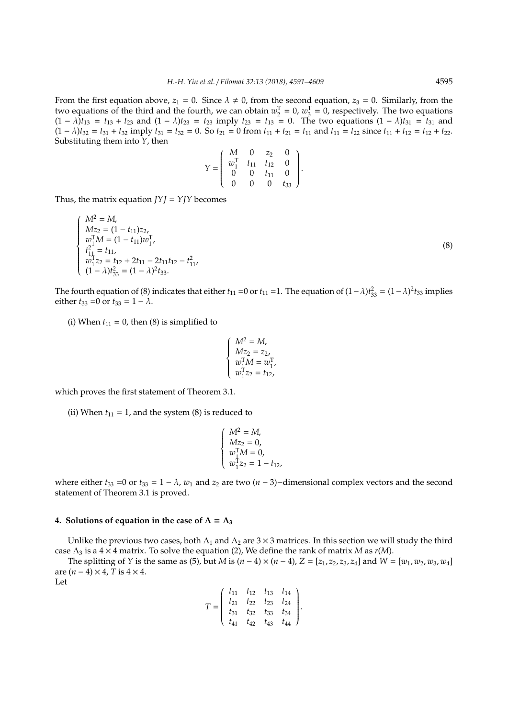From the first equation above,  $z_1 = 0$ . Since  $\lambda \neq 0$ , from the second equation,  $z_3 = 0$ . Similarly, from the two equations of the third and the fourth, we can obtain  $w_2^T = 0$ ,  $w_3^T = 0$ , respectively. The two equations  $(1 - \lambda)$ *t*<sub>13</sub> = *t*<sub>13</sub> + *t*<sub>23</sub> and  $(1 - \lambda)$ *t*<sub>23</sub> = *t*<sub>23</sub> imply *t*<sub>23</sub> = *t*<sub>13</sub> = 0. The two equations  $(1 - \lambda)$ *t*<sub>31</sub> = *t*<sub>31</sub> and  $(1 - \lambda)t_{32} = t_{31} + t_{32}$  imply  $t_{31} = t_{32} = 0$ . So  $t_{21} = 0$  from  $t_{11} + t_{21} = t_{11}$  and  $t_{11} = t_{22}$  since  $t_{11} + t_{12} = t_{12} + t_{22}$ . Substituting them into *Y*, then

$$
Y = \left(\begin{array}{cccc} M & 0 & z_2 & 0 \\ w_1^{\mathrm{T}} & t_{11} & t_{12} & 0 \\ 0 & 0 & t_{11} & 0 \\ 0 & 0 & 0 & t_{33} \end{array}\right).
$$

Thus, the matrix equation  $JYJ = YJY$  becomes

$$
\begin{cases}\nM^2 = M, \\
Mz_2 = (1 - t_{11})z_2, \\
w_1^{\mathrm{T}}M = (1 - t_{11})w_1^{\mathrm{T}}, \\
t_{11}^2 = t_{11}, \\
w_1^{\mathrm{T}}z_2 = t_{12} + 2t_{11} - 2t_{11}t_{12} - t_{11}^2, \\
(1 - \lambda)t_{33}^2 = (1 - \lambda)^2 t_{33}.\n\end{cases}
$$
\n(8)

The fourth equation of (8) indicates that either *t*<sub>11</sub> =0 or *t*<sub>11</sub> =1. The equation of  $(1 - \lambda)t_{33}^2 = (1 - \lambda)^2 t_{33}$  implies either  $t_{33} = 0$  or  $t_{33} = 1 - \lambda$ .

(i) When  $t_{11} = 0$ , then (8) is simplified to

$$
\begin{cases}\nM^2 = M, \\
Mz_2 = z_2, \\
w_1^{\text{T}}M = w_1^{\text{T}}, \\
w_1^{\text{T}}z_2 = t_{12},\n\end{cases}
$$

which proves the first statement of Theorem 3.1.

(ii) When  $t_{11} = 1$ , and the system  $(8)$  is reduced to

$$
\begin{cases}\nM^2 = M, \\
Mz_2 = 0, \\
w_1^{\text{T}}M = 0, \\
w_1^{\text{T}}z_2 = 1 - t_{12},\n\end{cases}
$$

where either  $t_{33} = 0$  or  $t_{33} = 1 - \lambda$ ,  $w_1$  and  $z_2$  are two  $(n-3)$ –dimensional complex vectors and the second statement of Theorem 3.1 is proved.

## **4. Solutions of equation in the case of**  $\Lambda = \Lambda_3$

Unlike the previous two cases, both  $\Lambda_1$  and  $\Lambda_2$  are 3 × 3 matrices. In this section we will study the third case  $\Lambda_3$  is a  $4 \times 4$  matrix. To solve the equation (2), We define the rank of matrix *M* as *r*(*M*).

The splitting of *Y* is the same as (5), but *M* is (*n* − 4) × (*n* − 4), *Z* = [*z*<sub>1</sub>, *z*<sub>2</sub>, *z*<sub>3</sub>, *z*<sub>4</sub>] and *W* = [*w*<sub>1</sub>, *w*<sub>2</sub>, *w*<sub>3</sub>, *w*<sub>4</sub>] are (*n* − 4) × 4, *T* is 4 × 4. Let

$$
T = \left(\begin{array}{cccc} t_{11} & t_{12} & t_{13} & t_{14} \\ t_{21} & t_{22} & t_{23} & t_{24} \\ t_{31} & t_{32} & t_{33} & t_{34} \\ t_{41} & t_{42} & t_{43} & t_{44} \end{array}\right).
$$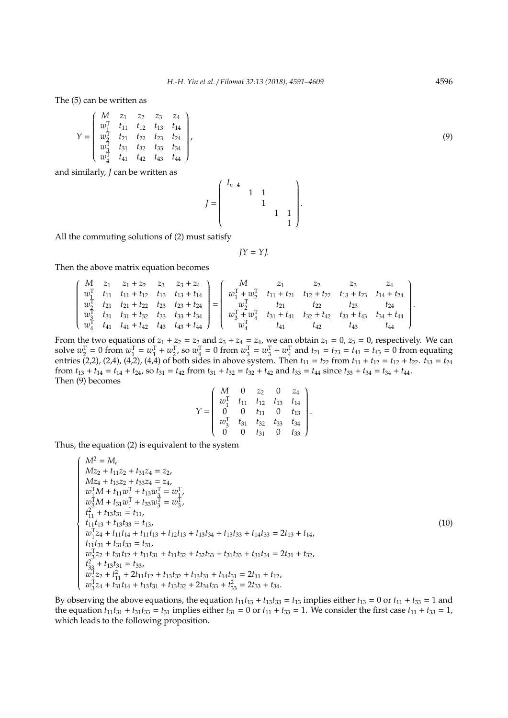The (5) can be written as

$$
Y = \begin{pmatrix} M & z_1 & z_2 & z_3 & z_4 \\ w_1^T & t_{11} & t_{12} & t_{13} & t_{14} \\ w_2^T & t_{21} & t_{22} & t_{23} & t_{24} \\ w_3^T & t_{31} & t_{32} & t_{33} & t_{34} \\ w_4^T & t_{41} & t_{42} & t_{43} & t_{44} \end{pmatrix},
$$

and similarly, *J* can be written as

$$
J = \begin{pmatrix} I_{n-4} & & & \\ & 1 & 1 & & \\ & & 1 & & \\ & & & 1 & 1 \\ & & & & 1 \end{pmatrix}.
$$

All the commuting solutions of (2) must satisfy

$$
JY = YJ
$$

Then the above matrix equation becomes

ſ

 $\overline{\phantom{a}}$ 

$$
\begin{array}{ccccccccc} M & z_1 & z_1+z_2 & z_3 & z_3+z_4 \\ w_1^T & t_{11} & t_{11}+t_{12} & t_{13} & t_{13}+t_{14} \\ w_2^T & t_{21} & t_{21}+t_{22} & t_{23} & t_{23}+t_{24} \\ w_3^T & t_{31} & t_{31}+t_{32} & t_{33} & t_{33}+t_{34} \\ w_4^T & t_{41} & t_{41}+t_{42} & t_{43} & t_{43}+t_{44} \end{array} = \begin{pmatrix} M & z_1 & z_2 & z_3 & z_4 \\ w_1^T + w_2^T & t_{11}+t_{21} & t_{12}+t_{22} & t_{13}+t_{23} & t_{14}+t_{24} \\ w_2^T & t_{21} & t_{22} & t_{23} & t_{24} \\ w_3^T + w_4^T & t_{31}+t_{41} & t_{32}+t_{42} & t_{33}+t_{43} & t_{34}+t_{44} \\ w_4^T & t_{41} & t_{42} & t_{43} & t_{44} \end{pmatrix}.
$$

From the two equations of  $z_1 + z_2 = z_2$  and  $z_3 + z_4 = z_4$ , we can obtain  $z_1 = 0$ ,  $z_3 = 0$ , respectively. We can solve  $w_2^T = 0$  from  $w_1^T = w_1^T + w_2^T$ , so  $w_4^T = 0$  from  $w_3^T = w_3^T + w_4^T$  and  $t_{21} = t_{23} = t_{41} = t_{43} = 0$  from equating entries (2,2), (2,4), (4,2), (4,4) of both sides in above system. Then  $t_{11} = t_{22}$  from  $t_{11} + t_{12} = t_{12} + t_{22}$ .  $t_{13} = t_{24}$ from  $t_{13} + t_{14} = t_{14} + t_{24}$ , so  $t_{31} = t_{42}$  from  $t_{31} + t_{32} = t_{32} + t_{42}$  and  $t_{33} = t_{44}$  since  $t_{33} + t_{34} = t_{34} + t_{44}$ . Then (9) becomes

$$
Y = \left(\begin{array}{cccc} M & 0 & z_2 & 0 & z_4 \\ w_1^T & t_{11} & t_{12} & t_{13} & t_{14} \\ 0 & 0 & t_{11} & 0 & t_{13} \\ w_3^T & t_{31} & t_{32} & t_{33} & t_{34} \\ 0 & 0 & t_{31} & 0 & t_{33} \end{array}\right).
$$

Thus, the equation (2) is equivalent to the system

$$
\begin{cases}\nM^2 = M, \\
Mz_2 + t_{11}z_2 + t_{31}z_4 = z_2, \\
Mz_4 + t_{13}z_2 + t_{33}z_4 = z_4, \\
w_1^T M + t_{11}w_1^T + t_{13}w_3^T = w_1^T, \\
w_3^T M + t_{31}w_1^T + t_{33}w_3^T = w_3^T, \\
t_{11}^2 + t_{13}t_{31} = t_{11}, \\
t_{11}t_{13} + t_{13}t_{33} = t_{13}, \\
w_1^T z_4 + t_{11}t_{14} + t_{11}t_{13} + t_{12}t_{13} + t_{13}t_{34} + t_{13}t_{33} + t_{14}t_{33} = 2t_{13} + t_{14}, \\
t_{11}t_{31} + t_{31}t_{33} = t_{31}, \\
w_3^T z_2 + t_{31}t_{12} + t_{11}t_{31} + t_{11}t_{32} + t_{32}t_{33} + t_{31}t_{33} + t_{31}t_{34} = 2t_{31} + t_{32}, \\
t_{33}^2 + t_{13}t_{31} = t_{33}, \\
w_1^3 z_2 + t_{11}^2 + 2t_{11}t_{12} + t_{13}t_{32} + t_{13}t_{31} + t_{14}t_{31} = 2t_{11} + t_{12}, \\
w_3^T z_4 + t_{31}t_{14} + t_{13}t_{31} + t_{13}t_{32} + 2t_{34}t_{33} + t_{33}^2 = 2t_{33} + t_{34}.\n\end{cases}
$$
\n(10)

By observing the above equations, the equation  $t_{11}t_{13} + t_{13}t_{33} = t_{13}$  implies either  $t_{13} = 0$  or  $t_{11} + t_{33} = 1$  and the equation  $t_{11}t_{31} + t_{31}t_{33} = t_{31}$  implies either  $t_{31} = 0$  or  $t_{11} + t_{33} = 1$ . We consider the first case  $t_{11} + t_{33} = 1$ , which leads to the following proposition.

,  $(9)$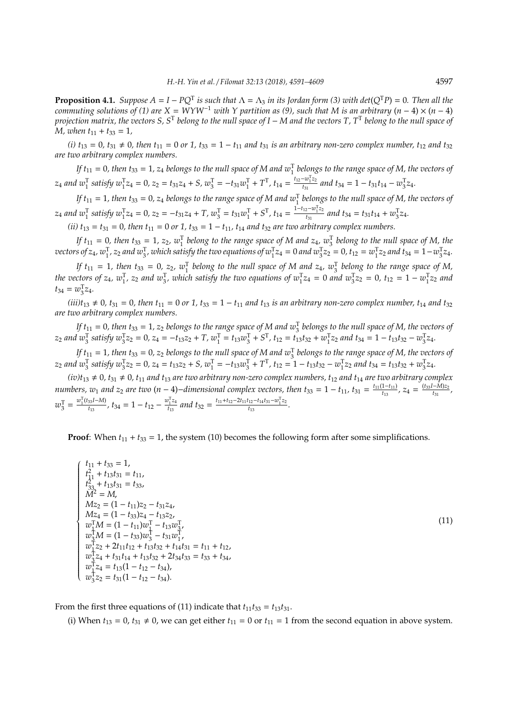**Proposition 4.1.** *Suppose*  $A = I - PQ^T$  *is such that*  $\Lambda = \Lambda_3$  *in its Jordan form* (3) *with det*( $Q^T P$ ) = 0*. Then all the commuting solutions of (1) are*  $X = WYW^{-1}$  *with Y partition as (9), such that M is an arbitrary (n – 4)*  $\times$  (*n – 4*) *projection matrix, the vectors S, S*<sup>T</sup> *belong to the null space of I* − *M and the vectors T, T*<sup>T</sup> *belong to the null space of M*, when  $t_{11} + t_{33} = 1$ ,

*(i)*  $t_{13} = 0$ ,  $t_{31} \neq 0$ , then  $t_{11} = 0$  or 1,  $t_{33} = 1 - t_{11}$  and  $t_{31}$  is an arbitrary non-zero complex number,  $t_{12}$  and  $t_{32}$ *are two arbitrary complex numbers.*

*If t*<sub>11</sub> = 0, then t<sub>33</sub> = 1,  $z_4$  belongs to the null space of M and  $w_1^{\rm T}$  belongs to the range space of M, the vectors of  $z_4$  *and*  $w_1^T$  *satisfy*  $w_1^T z_4 = 0$ ,  $z_2 = t_{31}z_4 + S$ ,  $w_3^T = -t_{31}w_1^T + T^T$ ,  $t_{14} = \frac{t_{12} - w_1^T z_2}{t_{31}}$  $\frac{w_1^2 z_2}{t_{31}}$  and  $t_{34} = 1 - t_{31}t_{14} - w_3^T z_4$ .

*If t*<sub>11</sub> = 1, then t<sub>33</sub> = 0,  $z_4$  belongs to the range space of M and  $w_1^\text{T}$  belongs to the null space of M, the vectors of

 $z_4$  *and*  $w_1^T$  *satisfy*  $w_1^T z_4 = 0$ ,  $z_2 = -t_{31}z_4 + T$ ,  $w_3^T = t_{31}w_1^T + S^T$ ,  $t_{14} = \frac{1-t_{12}-w_1^T z_2}{t_{31}}$  $t_{31}^{2-w_1 22}$  and  $t_{34} = t_{31}t_{14} + w_3^T z_4$ . *(ii)*  $t_{13} = t_{31} = 0$ , then  $t_{11} = 0$  or 1,  $t_{33} = 1 - t_{11}$ ,  $t_{14}$  and  $t_{32}$  are two arbitrary complex numbers.

If  $t_{11} = 0$ , then  $t_{33} = 1$ ,  $z_2$ ,  $w_1^T$  belong to the range space of M and  $z_4$ ,  $w_3^T$  belong to the null space of M, the

vectors of  $z_4$ ,  $w_1^T$ ,  $z_2$  and  $w_3^T$ , which satisfy the two equations of  $w_1^T z_4 = 0$  and  $w_3^T z_2 = 0$ ,  $t_{12} = w_1^T z_2$  and  $t_{34} = 1 - w_3^T z_4$ .

If  $t_{11} = 1$ , then  $t_{33} = 0$ ,  $z_2$ ,  $w_1^T$  belong to the null space of M and  $z_4$ ,  $w_3^T$  belong to the range space of M, *the vectors of*  $z_4$ ,  $w_1^T$ ,  $z_2$  *and*  $w_3^T$ , *which satisfy the two equations of*  $w_1^T z_4 = 0$  *and*  $w_3^T z_2 = 0$ ,  $t_{12} = 1 - w_1^T z_2$  *and*  $t_{34} = w_3^T z_4.$ 

 $(iii)$  $t_{13} \neq 0$ ,  $t_{31} = 0$ , then  $t_{11} = 0$  or 1,  $t_{33} = 1 - t_{11}$  and  $t_{13}$  *is an arbitrary non-zero complex number,*  $t_{14}$  *and*  $t_{32}$ *are two arbitrary complex numbers.*

*If t* $_{11}$  *= 0, then t* $_{33}$  *= 1,*  $z_2$  *belongs to the range space of M and*  $w_3^\Gamma$  *belongs to the null space of M, the vectors of*  $z_2$  and  $w_3^T$  satisfy  $w_3^T z_2 = 0$ ,  $z_4 = -t_{13}z_2 + T$ ,  $w_1^T = t_{13}w_3^T + S^T$ ,  $t_{12} = t_{13}t_{32} + w_1^T z_2$  and  $t_{34} = 1 - t_{13}t_{32} - w_3^T z_4$ .

*If*  $t_{11} = 1$ , then  $t_{33} = 0$ ,  $z_2$  belongs to the null space of M and  $w_3^T$  belongs to the range space of M, the vectors of  $z_2$  and  $w_3^T$  satisfy  $w_3^T z_2 = 0$ ,  $z_4 = t_{13} z_2 + S$ ,  $w_1^T = -t_{13} w_3^T + T^T$ ,  $t_{12} = 1 - t_{13} t_{32} - w_1^T z_2$  and  $t_{34} = t_{13} t_{32} + w_3^T z_4$ .

 $(iv)t_{13} \neq 0$ ,  $t_{31} \neq 0$ ,  $t_{11}$  *and*  $t_{13}$  *are two arbitrary non-zero complex numbers,*  $t_{12}$  *and*  $t_{14}$  *are two arbitrary complex numbers, w*<sub>1</sub> and z<sub>2</sub> are two (*n* − 4)–*dimensional complex vectors, then*  $t_{33} = 1 - t_{11}$ ,  $t_{31} = \frac{t_{11}(1-t_{11})}{t_{13}}$  $\frac{(1-t_{11})}{t_{13}}$ ,  $z_4 = \frac{(t_{33}I-M)z_2}{t_{31}}$  $\frac{(-1)(1/2)}{t_{31}}$  $w_3^{\text{T}} = \frac{w_1^{\text{T}}(t_{33}I - M)}{t_{13}}$  $\frac{t_{33}I - M_1}{t_{13}}$ ,  $t_{34} = 1 - t_{12} - \frac{w_1^T z_4}{t_{13}}$ *t*<sub>13</sub> and  $t_{32} = \frac{t_{11} + t_{12} - 2t_{11}t_{12} - t_{14}t_{31} - w_1^T z_2}{t_{13}}$  $\frac{t_{12} \cdot t_{14} \cdot s_1 - t_{14} \cdot s_2}{t_{13}}$ .

**Proof**: When  $t_{11} + t_{33} = 1$ , the system (10) becomes the following form after some simplifications.

 $t_{11} + t_{33} = 1$ ,  $t_{11}^2 + t_{13}t_{31} = t_{11}$ ,  $t_{33}^2 + t_{13}t_{31} = t_{33}$  $\widetilde{M}^2 = M$ ,  $Mz_2 = (1 - t_{11})z_2 - t_{31}z_4$  $Mz_4 = (1 - t_{33})z_4 - t_{13}z_2$  $w_1^{\text{T}}M = (1 - t_{11})w_1^{\text{T}} - t_{13}w_2^{\text{T}}$  $w_3^{\text{T}}M = (1 - t_{33})w_3^{\text{T}} - t_{31}w_1^{\text{T}}$  $w_1^T z_2 + 2t_{11}t_{12} + t_{13}t_{32} + t_{14}t_{31} = t_{11} + t_{12}$  $w_3^{\text{T}}z_4 + t_{31}t_{14} + t_{13}t_{32} + 2t_{34}t_{33} = t_{33} + t_{34}$  $w_1^{\mathsf{T}} z_4 = t_{13}(1 - t_{12} - t_{34}),$  $w_3^{\dagger} z_2 = t_{31}(1 - t_{12} - t_{34}).$ 

From the first three equations of (11) indicate that  $t_{11}t_{33} = t_{13}t_{31}$ .

(i) When  $t_{13} = 0$ ,  $t_{31} \neq 0$ , we can get either  $t_{11} = 0$  or  $t_{11} = 1$  from the second equation in above system.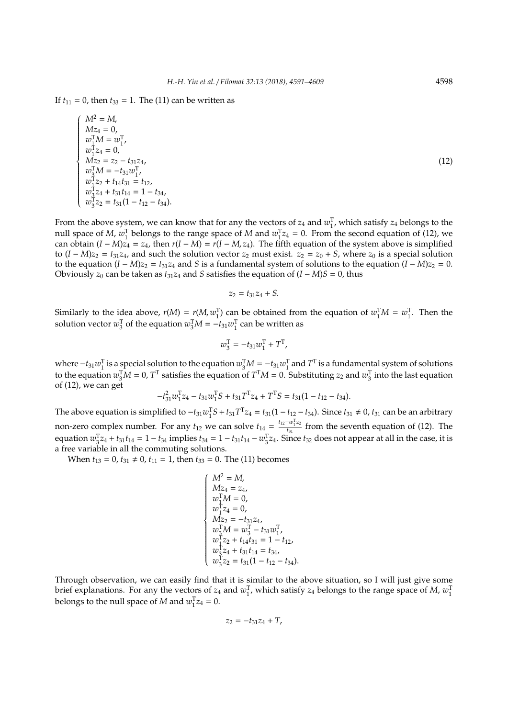If  $t_{11} = 0$ , then  $t_{33} = 1$ . The (11) can be written as

$$
\left\{\begin{array}{l} M^2=M,\\ Mz_4=0,\\ w_1^\mathsf{T}M=w_1^\mathsf{T},\\ w_1^\mathsf{T}z_4=0,\\ Mz_2=z_2-t_{31}z_4,\\ w_3^\mathsf{T}M=-t_{31}w_1^\mathsf{T},\\ w_1^\mathsf{T}z_2+t_{14}t_{31}=t_{12},\\ w_3^\mathsf{T}z_4+t_{31}t_{14}=1-t_{34},\\ w_3^\mathsf{T}z_2=t_{31}(1-t_{12}-t_{34}). \end{array}\right.
$$

From the above system, we can know that for any the vectors of  $z_4$  and  $w_1^T$ , which satisfy  $z_4$  belongs to the null space of *M*,  $w_1^T$  belongs to the range space of *M* and  $w_1^T z_4 = 0$ . From the second equation of (12), we can obtain  $(I - M)\overline{z_4} = z_4$ , then  $r(I - M) = r(I - M, z_4)$ . The fifth equation of the system above is simplified to  $(I - M)z_2 = t_{31}z_4$ , and such the solution vector  $z_2$  must exist.  $z_2 = z_0 + S$ , where  $z_0$  is a special solution to the equation  $(I - M)z_2 = t_{31}z_4$  and *S* is a fundamental system of solutions to the equation  $(I - M)z_2 = 0$ . Obviously  $z_0$  can be taken as  $t_{31}z_4$  and *S* satisfies the equation of  $(I - M)S = 0$ , thus

$$
z_2 = t_{31}z_4 + S.
$$

Similarly to the idea above,  $r(M) = r(M, w_1^T)$  can be obtained from the equation of  $w_1^T M = w_1^T$ . Then the solution vector  $w_3^T$  of the equation  $w_3^T M = -t_{31} w_1^T$  can be written as

$$
w_3^{\rm T} = -t_{31}w_1^{\rm T} + T^{\rm T},
$$

where  $-t_{31}w_1^T$  is a special solution to the equation  $w_3^T M = -t_{31}w_1^T$  and  $T^T$  is a fundamental system of solutions to the equation  $w_3^T M = 0$ ,  $T^T$  satisfies the equation of  $T^T M = 0$ . Substituting  $z_2$  and  $w_3^T$  into the last equation of (12), we can get

$$
-t_{31}^2 w_1^{\mathrm{T}} z_4 - t_{31} w_1^{\mathrm{T}} S + t_{31} T^{\mathrm{T}} z_4 + T^{\mathrm{T}} S = t_{31} (1 - t_{12} - t_{34}).
$$

The above equation is simplified to  $-t_{31}w_1^T S + t_{31}T^T z_4 = t_{31}(1-t_{12}-t_{34})$ . Since  $t_{31} \ne 0$ ,  $t_{31}$  can be an arbitrary non-zero complex number. For any  $t_{12}$  we can solve  $t_{14} = \frac{t_{12}-w_1^T z_2}{t_{12}}$  $rac{w_1 z_2}{t_{31}}$  from the seventh equation of (12). The equation  $w_3^T z_4 + t_{31} t_{14} = 1 - t_{34}$  implies  $t_{34} = 1 - t_{31} t_{14} - w_3^T z_4$ . Since  $t_{32}$  does not appear at all in the case, it is a free variable in all the commuting solutions.

When  $t_{13} = 0$ ,  $t_{31} \neq 0$ ,  $t_{11} = 1$ , then  $t_{33} = 0$ . The (11) becomes

$$
\left\{\begin{array}{l} M^2=M,\\ Mz_4=z_4,\\ w_1^\mathsf{T}M=0,\\ w_1^\mathsf{T}z_4=0,\\ Mz_2=-t_{31}z_4,\\ w_3^\mathsf{T}M=w_3^\mathsf{T}-t_{31}w_1^\mathsf{T},\\ w_1^\mathsf{T}z_2+t_{14}t_{31}=1-t_{12},\\ w_3^\mathsf{T}z_4+t_{31}t_{14}=t_{34},\\ w_3^\mathsf{T}z_2=t_{31}(1-t_{12}-t_{34}). \end{array}\right.
$$

Through observation, we can easily find that it is similar to the above situation, so I will just give some brief explanations. For any the vectors of  $z_4$  and  $w_1^T$ , which satisfy  $z_4$  belongs to the range space of *M*,  $w_1^T$ belongs to the null space of *M* and  $w_1^T z_4 = 0$ .

$$
z_2 = -t_{31}z_4 + T,
$$

(12)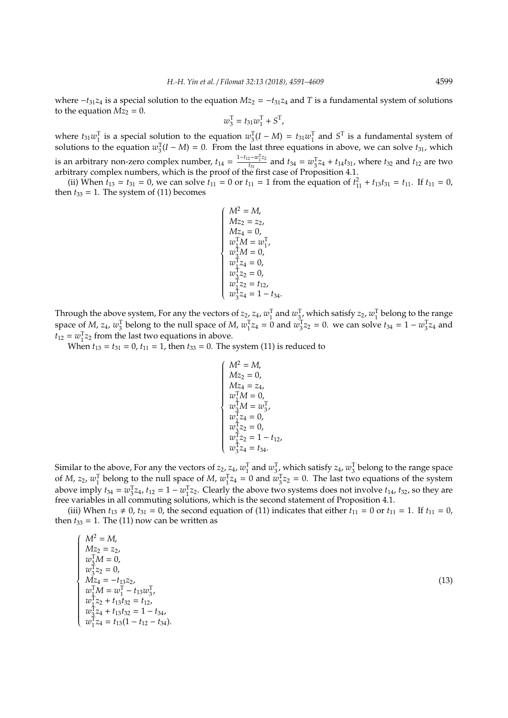where  $-t_{31}z_4$  is a special solution to the equation  $Mz_2 = -t_{31}z_4$  and *T* is a fundamental system of solutions to the equation  $Mz_2 = 0$ .

$$
w_3^{\rm T} = t_{31} w_1^{\rm T} + S^{\rm T},
$$

where  $t_{31}w_1^T$  is a special solution to the equation  $w_3^T(I - M) = t_{31}w_1^T$  and  $S^T$  is a fundamental system of solutions to the equation  $w_3^T(I - M) = 0$ . From the last three equations in above, we can solve *t*<sub>31</sub>, which is an arbitrary non-zero complex number,  $t_{14} = \frac{1-t_{12}-w_1^{\mathrm{T}}z_2}{t_{31}}$  $t_{\frac{3}{2}}t_{31}$  and  $t_{34} = w_3^Tz_4 + t_{14}t_{31}$ , where  $t_{32}$  and  $t_{12}$  are two arbitrary complex numbers, which is the proof of the first case of Proposition 4.1.

(ii) When  $t_{13} = t_{31} = 0$ , we can solve  $t_{11} = 0$  or  $t_{11} = 1$  from the equation of  $t_{11}^2 + t_{13}t_{31} = t_{11}$ . If  $t_{11} = 0$ , then  $t_{33} = 1$ . The system of (11) becomes

 $\sqrt{ }$ 

 $\left\{\begin{array}{c} \end{array}\right\}$ 

 $\sqrt{ }$ 

 $\begin{array}{c} \hline \end{array}$ 

 $\begin{array}{c} \hline \rule{0pt}{2.5ex} \rule{0pt}{2.5ex} \rule{0pt}{2.5ex} \rule{0pt}{2.5ex} \rule{0pt}{2.5ex} \rule{0pt}{2.5ex} \rule{0pt}{2.5ex} \rule{0pt}{2.5ex} \rule{0pt}{2.5ex} \rule{0pt}{2.5ex} \rule{0pt}{2.5ex} \rule{0pt}{2.5ex} \rule{0pt}{2.5ex} \rule{0pt}{2.5ex} \rule{0pt}{2.5ex} \rule{0pt}{2.5ex} \rule{0pt}{2.5ex} \rule{0pt}{2.5ex} \rule{0pt}{2.5ex} \$ 

$$
M^{2} = M,
$$
  
\n
$$
Mz_{2} = z_{2},
$$
  
\n
$$
Mz_{4} = 0,
$$
  
\n
$$
w_{1}^{T}M = w_{1}^{T},
$$
  
\n
$$
w_{3}^{T}M = 0,
$$
  
\n
$$
w_{1}^{T}z_{4} = 0,
$$
  
\n
$$
w_{1}^{T}z_{2} = t_{12},
$$
  
\n
$$
w_{3}^{T}z_{4} = 1 - t_{34}.
$$

Through the above system, For any the vectors of  $z_2$ ,  $z_4$ ,  $w_1^T$  and  $w_3^T$ , which satisfy  $z_2$ ,  $w_1^T$  belong to the range space of *M*,  $z_4$ ,  $w_3^T$  belong to the null space of *M*,  $w_1^T z_4 = 0$  and  $w_3^T z_2 = 0$ . we can solve  $t_{34} = 1 - w_3^T z_4$  and  $t_{12} = w_1^T z_2$  from the last two equations in above.

When  $t_{13} = t_{31} = 0$ ,  $t_{11} = 1$ , then  $t_{33} = 0$ . The system (11) is reduced to

$$
M^{2} = M,
$$
  
\n
$$
Mz_{2} = 0,
$$
  
\n
$$
Mz_{4} = z_{4},
$$
  
\n
$$
w_{1}^{T}M = 0,
$$
  
\n
$$
w_{3}^{T}M = w_{3}^{T},
$$
  
\n
$$
w_{1}^{T}z_{4} = 0,
$$
  
\n
$$
w_{1}^{T}z_{2} = 1 - t_{12},
$$
  
\n
$$
w_{3}^{T}z_{4} = t_{34}.
$$

Similar to the above, For any the vectors of  $z_2$ ,  $z_4$ ,  $w_1^T$  and  $w_3^T$ , which satisfy  $z_4$ ,  $w_3^T$  belong to the range space of *M*,  $z_2$ ,  $w_1^T$  belong to the null space of *M*,  $w_1^T z_4 = 0$  and  $w_3^T z_2 = 0$ . The last two equations of the system above imply  $t_{34} = w_3^T z_4$ ,  $t_{12} = 1 - w_1^T z_2$ . Clearly the above two systems does not involve  $t_{14}$ ,  $t_{32}$ , so they are free variables in all commuting solutions, which is the second statement of Proposition 4.1.

(iii) When  $t_{13} \neq 0$ ,  $t_{31} = 0$ , the second equation of (11) indicates that either  $t_{11} = 0$  or  $t_{11} = 1$ . If  $t_{11} = 0$ , then  $t_{33} = 1$ . The (11) now can be written as

$$
\begin{cases}\nM^2 = M, \\
Mz_2 = z_2, \\
w_3^{\mathrm{T}} M = 0, \\
w_3^{\mathrm{T}} z_2 = 0, \\
Mz_4 = -t_{13}z_2, \\
w_1^{\mathrm{T}} M = w_1^{\mathrm{T}} - t_{13}w_3^{\mathrm{T}}, \\
w_1^{\mathrm{T}} z_2 + t_{13}t_{32} = t_{12}, \\
w_3^{\mathrm{T}} z_4 + t_{13}t_{32} = 1 - t_{34}, \\
w_1^{\mathrm{T}} z_4 = t_{13}(1 - t_{12} - t_{34}).\n\end{cases}
$$

(13)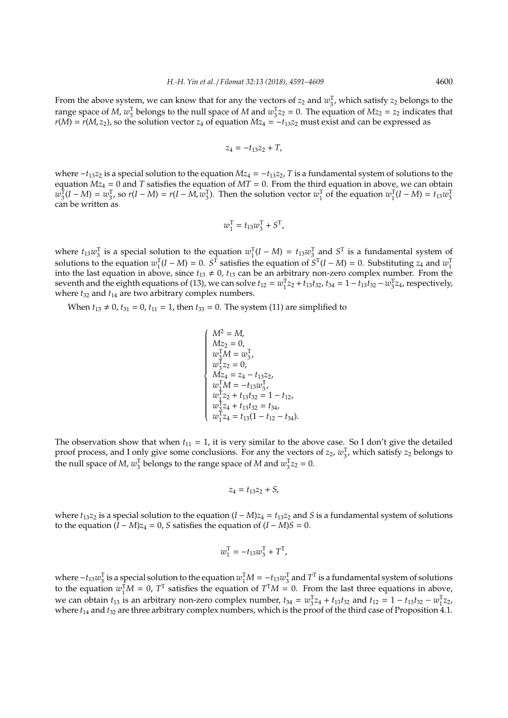From the above system, we can know that for any the vectors of  $z_2$  and  $w_3^T$ , which satisfy  $z_2$  belongs to the range space of *M*,  $w_3^T$  belongs to the null space of *M* and  $w_3^Tz_2 = 0$ . The equation of  $Mz_2 = z_2$  indicates that  $r(M) = r(M, z_2)$ , so the solution vector  $z_4$  of equation  $Mz_4 = -t_{13}z_2$  must exist and can be expressed as

$$
z_4 = -t_{13}z_2 + T,
$$

where  $-t_{13}z_2$  is a special solution to the equation  $Mz_4 = -t_{13}z_2$ , *T* is a fundamental system of solutions to the equation  $Mz_4 = 0$  and *T* satisfies the equation of  $MT = 0$ . From the third equation in above, we can obtain  $w_3^{\text{T}}(I-M) = w_3^{\text{T}}$ , so  $r(I-M) = r(I-M, w_3^{\text{T}})$ . Then the solution vector  $w_1^{\text{T}}$  of the equation  $w_1^{\text{T}}(I-M) = t_{13}w_3^{\text{T}}$ can be written as

$$
w_1^{\rm T} = t_{13} w_3^{\rm T} + S^{\rm T},
$$

where  $t_{13}w_3^{\text{T}}$  is a special solution to the equation  $w_1^{\text{T}}(I - M) = t_{13}w_3^{\text{T}}$  and  $S^{\text{T}}$  is a fundamental system of solutions to the equation  $w_1^T(I - M) = 0$ . *S*<sup>T</sup> satisfies the equation of *S*<sup>T</sup>(*I* − *M*) = 0. Substituting *z*<sub>4</sub> and  $w_1^T$ into the last equation in above, since  $t_{13} \neq 0$ ,  $t_{13}$  can be an arbitrary non-zero complex number. From the seventh and the eighth equations of (13), we can solve  $t_{12} = w_1^T z_2 + t_{13}t_{32}$ ,  $t_{34} = 1 - t_{13}t_{32} - w_3^T z_4$ , respectively, where  $t_{32}$  and  $t_{14}$  are two arbitrary complex numbers.

When  $t_{13} \neq 0$ ,  $t_{31} = 0$ ,  $t_{11} = 1$ , then  $t_{33} = 0$ . The system (11) are simplified to

$$
\begin{cases}\nM^2 = M, \\
Mz_2 = 0, \\
w_3^{\mathrm{T}} M = w_3^{\mathrm{T}}, \\
w_3^{\mathrm{T}} z_2 = 0, \\
Mz_4 = z_4 - t_{13}z_2, \\
w_1^{\mathrm{T}} M = -t_{13}w_3^{\mathrm{T}}, \\
w_1^{\mathrm{T}} z_2 + t_{13}t_{32} = 1 - t_{12}, \\
w_3^{\mathrm{T}} z_4 + t_{13}t_{32} = t_{34}, \\
w_1^{\mathrm{T}} z_4 = t_{13}(1 - t_{12} - t_{34}).\n\end{cases}
$$

The observation show that when  $t_{11} = 1$ , it is very similar to the above case. So I don't give the detailed proof process, and I only give some conclusions. For any the vectors of  $z_2$ ,  $w_3^T$ , which satisfy  $z_2$  belongs to the null space of *M*,  $w_3^T$  belongs to the range space of *M* and  $w_3^Tz_2 = 0$ .

$$
z_4=t_{13}z_2+S,
$$

where  $t_{13}z_2$  is a special solution to the equation  $(I - M)z_4 = t_{13}z_2$  and *S* is a fundamental system of solutions to the equation  $(I - M)z_4 = 0$ , *S* satisfies the equation of  $(I - M)S = 0$ .

$$
w_1^{\rm T} = -t_{13}w_3^{\rm T} + T^{\rm T},
$$

where  $-t_{13}w_3^T$  is a special solution to the equation  $w_1^T M = -t_{13}w_3^T$  and  $T^T$  is a fundamental system of solutions to the equation  $w_1^{\mathrm{T}}M = 0$ ,  $T^{\mathrm{T}}$  satisfies the equation of  $T^{\mathrm{T}}M = 0$ . From the last three equations in above, we can obtain  $t_{13}$  is an arbitrary non-zero complex number,  $t_{34} = w_3^T z_4 + t_{13} t_{32}$  and  $t_{12} = 1 - t_{13} t_{32} - w_1^T z_2$ , where  $t_{14}$  and  $t_{32}$  are three arbitrary complex numbers, which is the proof of the third case of Proposition 4.1.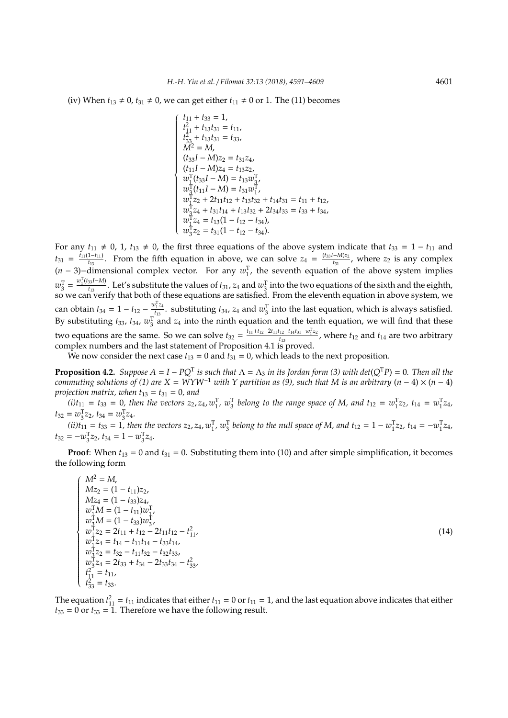(iv) When  $t_{13} \neq 0$ ,  $t_{31} \neq 0$ , we can get either  $t_{11} \neq 0$  or 1. The (11) becomes

$$
\begin{cases}\nt_{11} + t_{33} = 1, \\
t_{11}^2 + t_{13}t_{31} = t_{11}, \\
t_{33}^2 + t_{13}t_{31} = t_{33}, \\
M^2 = M, \\
(t_{33}I - M)z_2 = t_{31}z_4, \\
(t_{11}I - M)z_4 = t_{13}z_2, \\
w_1^T(t_{33}I - M) = t_{13}w_3^T, \\
w_3^T(t_{11}I - M) = t_{31}w_1^T, \\
w_1^Tz_2 + 2t_{11}t_{12} + t_{13}t_{32} + t_{14}t_{31} = t_{11} + t_{12}, \\
w_1^Tz_4 + t_{31}t_{14} + t_{13}t_{32} + 2t_{34}t_{33} = t_{33} + t_{34}, \\
w_1^Tz_4 = t_{13}(1 - t_{12} - t_{34}), \\
w_3^Tz_2 = t_{31}(1 - t_{12} - t_{34}).\n\end{cases}
$$

For any  $t_{11} \neq 0$ , 1,  $t_{13} \neq 0$ , the first three equations of the above system indicate that  $t_{33} = 1 - t_{11}$  and  $t_{31} = \frac{t_{11}(1-t_{11})}{t_{13}}$  $\frac{1-t_{11}}{t_{13}}$ . From the fifth equation in above, we can solve  $z_4 = \frac{(t_{33}I-M)z_2}{t_{31}}$  $\frac{(-1)(1/2)}{t_{31}}$ , where  $z_2$  is any complex (*n* − 3)−dimensional complex vector. For any *w* T , the seventh equation of the above system implies 1  $w_3^{\text{T}} = \frac{w_1^{\text{T}}(t_{33}I - M)}{t_{13}}$  $\frac{33^{1-N}1}{t_{13}}$ . Let's substitute the values of  $t_{31}$ ,  $z_4$  and  $w_3^T$  into the two equations of the sixth and the eighth, so we can verify that both of these equations are satisfied. From the eleventh equation in above system, we can obtain  $t_{34} = 1 - t_{12} - \frac{w_1^T z_4}{t_{13}}$  $\frac{y_1 \Delta_4}{t_{13}}$ . substituting  $t_{34}$ ,  $z_4$  and  $w_3^{\mathrm{T}}$  into the last equation, which is always satisfied. By substituting  $t_{33}$ ,  $t_{34}$ ,  $w_3^T$  and  $z_4$  into the ninth equation and the tenth equation, we will find that these two equations are the same. So we can solve  $t_{32} = \frac{t_{11}+t_{12}-2t_{11}t_{12}-t_{14}t_{31}-w_1^T z_2}{t_{13}}$ , where  $t_{12}$  and  $t_{14}$  are two arbitrary the equations are the same. So we can solve  $t_{32}$  –  $t_{13}$  –  $t_{13}$  complex numbers and the last statement of Proposition 4.1 is proved.

We now consider the next case  $t_{13} = 0$  and  $t_{31} = 0$ , which leads to the next proposition.

**Proposition 4.2.** *Suppose*  $A = I - PQ^T$  *is such that*  $\Lambda = \Lambda_3$  *in its Jordan form* (3) with  $det(Q^T P) = 0$ *. Then all the commuting solutions of (1) are X* =  $\widetilde{W}W^{-1}$  *with Y partition as (9), such that M is an arbitrary*  $(n-4) \times (n-4)$ *projection matrix, when t*<sup>13</sup> = *t*<sup>31</sup> = 0*, and*

 $(i)$ *t*<sub>11</sub> = *t*<sub>33</sub> = 0*, then the vectors*  $z_2$ ,  $z_4$ ,  $w_1^T$ ,  $w_3^T$  belong to the range space of M, and  $t_{12} = w_1^T z_2$ ,  $t_{14} = w_1^T z_4$ ,  $t_{32} = w_3^T z_2, t_{34} = w_3^T z_4.$ 

 $(iii)$  $t_{11} = t_{33} = 1$ , then the vectors  $z_2, z_4, w_1^T, w_3^T$  belong to the null space of M, and  $t_{12} = 1 - w_1^T z_2$ ,  $t_{14} = -w_1^T z_4$ ,  $t_{32} = -w_3^T z_2, t_{34} = 1 - w_3^T z_4.$  $T_{72}$   $t_{24} = 1 - 70$ 

**Proof**: When  $t_{13} = 0$  and  $t_{31} = 0$ . Substituting them into (10) and after simple simplification, it becomes the following form

$$
\left\{\n\begin{array}{l}\nM^2 = M, \\
Mz_2 = (1 - t_{11})z_2, \\
Mz_4 = (1 - t_{33})z_4, \\
w_1^\mathsf{T} M = (1 - t_{11})w_1^\mathsf{T}, \\
w_2^\mathsf{T} M = (1 - t_{33})w_3^\mathsf{T}, \\
w_1^\mathsf{T} z_2 = 2t_{11} + t_{12} - 2t_{11}t_{12} - t_{11}^2, \\
w_1^\mathsf{T} z_4 = t_{14} - t_{11}t_{14} - t_{33}t_{14}, \\
w_2^\mathsf{T} z_2 = t_{32} - t_{11}t_{32} - t_{32}t_{33}, \\
w_3^\mathsf{T} z_4 = 2t_{33} + t_{34} - 2t_{33}t_{34} - t_{33}^2, \\
t_{11}^2 = t_{11}, \\
t_{23}^2 = t_{33}. \\
\end{array}\n\right.
$$

(14)

The equation  $t_{11}^2 = t_{11}$  indicates that either  $t_{11} = 0$  or  $t_{11} = 1$ , and the last equation above indicates that either  $t_{33} = 0$  or  $t_{33} = 1$ . Therefore we have the following result.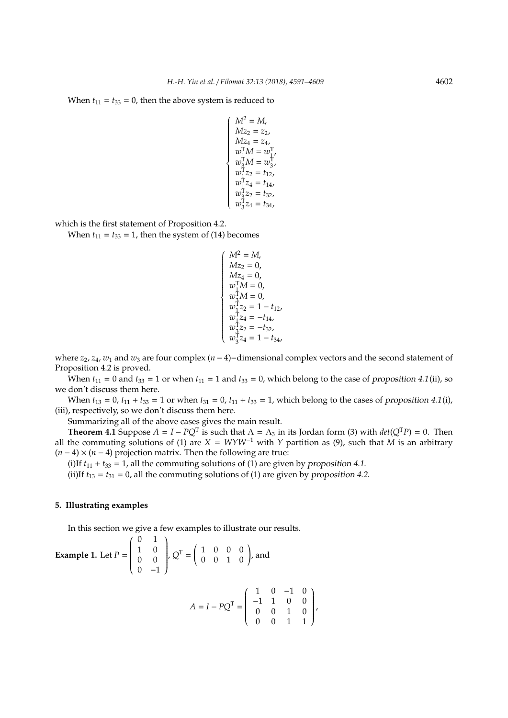When  $t_{11} = t_{33} = 0$ , then the above system is reduced to

$$
\left\{\begin{array}{l}M^2=M,\\ Mz_2=z_2,\\ Mz_4=z_4,\\ w_1^\mathsf{T}M=w_1^\mathsf{T},\\ w_2^\mathsf{T}M=w_3^\mathsf{T},\\ w_1^\mathsf{T}z_2=t_{12},\\ w_1^\mathsf{T}z_4=t_{14},\\ w_3^\mathsf{T}z_2=t_{32},\\ w_3^\mathsf{T}z_4=t_{34},\end{array}\right.
$$

which is the first statement of Proposition 4.2.

When  $t_{11} = t_{33} = 1$ , then the system of (14) becomes

$$
M^{2} = M,
$$
  
\n
$$
Mz_{2} = 0,
$$
  
\n
$$
Mz_{4} = 0,
$$
  
\n
$$
w_{1}^{T}M = 0,
$$
  
\n
$$
w_{3}^{T}M = 0,
$$
  
\n
$$
w_{1}^{T}z_{2} = 1 - t_{12},
$$
  
\n
$$
w_{1}^{T}z_{4} = -t_{14},
$$
  
\n
$$
w_{3}^{T}z_{2} = -t_{32},
$$
  
\n
$$
w_{3}^{T}z_{4} = 1 - t_{34},
$$

 $\sqrt{ }$ 

 $\begin{array}{c} \hline \end{array}$ 

 $\begin{array}{c} \hline \rule{0pt}{2.5ex} \rule{0pt}{2.5ex} \rule{0pt}{2.5ex} \rule{0pt}{2.5ex} \rule{0pt}{2.5ex} \rule{0pt}{2.5ex} \rule{0pt}{2.5ex} \rule{0pt}{2.5ex} \rule{0pt}{2.5ex} \rule{0pt}{2.5ex} \rule{0pt}{2.5ex} \rule{0pt}{2.5ex} \rule{0pt}{2.5ex} \rule{0pt}{2.5ex} \rule{0pt}{2.5ex} \rule{0pt}{2.5ex} \rule{0pt}{2.5ex} \rule{0pt}{2.5ex} \rule{0pt}{2.5ex} \$ 

where  $z_2$ ,  $z_4$ ,  $w_1$  and  $w_3$  are four complex  $(n-4)$ –dimensional complex vectors and the second statement of Proposition 4.2 is proved.

When  $t_{11} = 0$  and  $t_{33} = 1$  or when  $t_{11} = 1$  and  $t_{33} = 0$ , which belong to the case of proposition 4.1(ii), so we don't discuss them here.

When  $t_{13} = 0$ ,  $t_{11} + t_{33} = 1$  or when  $t_{31} = 0$ ,  $t_{11} + t_{33} = 1$ , which belong to the cases of proposition 4.1(i), (iii), respectively, so we don't discuss them here.

Summarizing all of the above cases gives the main result.

**Theorem 4.1** Suppose  $A = I - PQ^T$  is such that  $\Lambda = \Lambda_3$  in its Jordan form (3) with  $det(Q^T P) = 0$ . Then all the commuting solutions of (1) are  $X = WYW^{-1}$  with  $Y$  partition as (9), such that  $M$  is an arbitrary  $(n-4) \times (n-4)$  projection matrix. Then the following are true:

(i)If  $t_{11} + t_{33} = 1$ , all the commuting solutions of (1) are given by proposition 4.1.

(ii)If  $t_{13} = t_{31} = 0$ , all the commuting solutions of (1) are given by *proposition* 4.2.

## **5. Illustrating examples**

In this section we give a few examples to illustrate our results.

**Example 1.** Let *P* = 0 1  $\overline{\phantom{a}}$ 1 0 0 0  $0 -1$ ſ  $\begin{array}{c} \hline \end{array}$ ,  $Q^{T} = \begin{pmatrix} 1 & 0 & 0 & 0 \\ 0 & 0 & 1 & 0 \end{pmatrix}$ , and

$$
A = I - PQ^{T} = \begin{pmatrix} 1 & 0 & -1 & 0 \\ -1 & 1 & 0 & 0 \\ 0 & 0 & 1 & 0 \\ 0 & 0 & 1 & 1 \end{pmatrix},
$$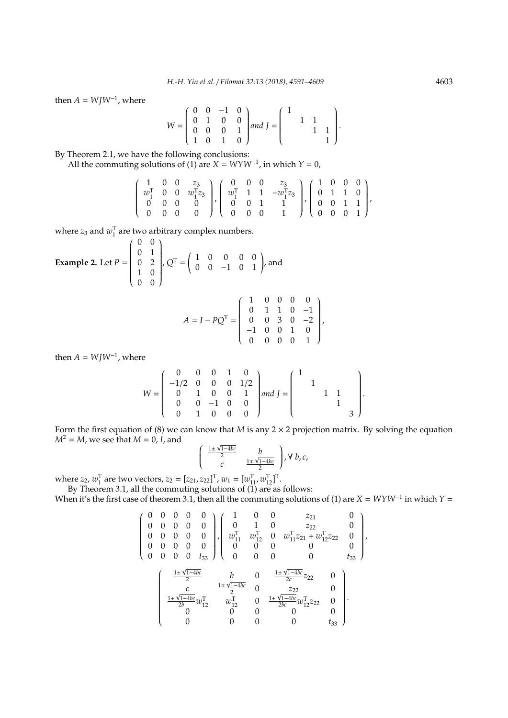then  $A = W J W^{-1}$ , where

$$
W = \left(\begin{array}{cccc} 0 & 0 & -1 & 0 \\ 0 & 1 & 0 & 0 \\ 0 & 0 & 0 & 1 \\ 1 & 0 & 1 & 0 \end{array}\right) and J = \left(\begin{array}{cccc} 1 & 0 & 0 \\ 0 & 1 & 1 \\ 0 & 1 & 1 \end{array}\right).
$$

By Theorem 2.1, we have the following conclusions:

All the commuting solutions of (1) are  $X = WYW^{-1}$ , in which  $Y = 0$ ,

$$
\left(\begin{array}{cccc} 1 & 0 & 0 & z_3 \\ w_1^T & 0 & 0 & w_1^T z_3 \\ 0 & 0 & 0 & 0 \\ 0 & 0 & 0 & 0 \end{array}\right), \left(\begin{array}{cccc} 0 & 0 & 0 & z_3 \\ w_1^T & 1 & 1 & -w_1^T z_3 \\ 0 & 0 & 1 & 1 \\ 0 & 0 & 0 & 1 \end{array}\right), \left(\begin{array}{cccc} 1 & 0 & 0 & 0 \\ 0 & 1 & 1 & 0 \\ 0 & 0 & 1 & 1 \\ 0 & 0 & 0 & 1 \end{array}\right),
$$

where  $z_3$  and  $w_1^T$  are two arbitrary complex numbers.

**Example 2.** Let *P* = 0 0 |<br>|<br>|<br>| 0 1 0 2 1 0 0 0  $\lambda$  $\begin{array}{c} \hline \end{array}$ ,  $Q^{T} = \begin{pmatrix} 1 & 0 & 0 & 0 & 0 \\ 0 & 0 & -1 & 0 & 1 \end{pmatrix}$ , and

$$
A = I - PQ^{T} = \begin{pmatrix} 1 & 0 & 0 & 0 & 0 \\ 0 & 1 & 1 & 0 & -1 \\ 0 & 0 & 3 & 0 & -2 \\ -1 & 0 & 0 & 1 & 0 \\ 0 & 0 & 0 & 0 & 1 \end{pmatrix},
$$

then  $A = W J W^{-1}$ , where

$$
W = \left(\begin{array}{cccc} 0 & 0 & 0 & 1 & 0 \\ -1/2 & 0 & 0 & 0 & 1/2 \\ 0 & 1 & 0 & 0 & 1 \\ 0 & 0 & -1 & 0 & 0 \\ 0 & 1 & 0 & 0 & 0 \end{array}\right) and J = \left(\begin{array}{cccc} 1 & 0 & 0 \\ 0 & 1 & 0 & 0 \\ 0 & 0 & 1 & 1 \\ 0 & 0 & 0 & 0 \end{array}\right).
$$

Form the first equation of (8) we can know that *M* is any  $2 \times 2$  projection matrix. By solving the equation  $M^2 = M$ , we see that  $M = 0$ , *I*, and

$$
\left(\begin{array}{cc}\frac{1\pm\sqrt{1-4bc}}{2} & b\\ c & \frac{1\mp\sqrt{1-4bc}}{2}\end{array}\right), \forall b, c,
$$

where  $z_2$ ,  $w_1^T$  are two vectors,  $z_2 = [z_{21}, z_{22}]^T$ ,  $w_1 = [w_{11}^T, w_{12}^T]^T$ .

By Theorem 3.1, all the commuting solutions of  $(1)$  are as follows: When it's the first case of theorem 3.1, then all the commuting solutions of (1) are  $X = WYW^{-1}$  in which  $Y =$ 

$$
\begin{pmatrix}\n0 & 0 & 0 & 0 & 0 \\
0 & 0 & 0 & 0 & 0 \\
0 & 0 & 0 & 0 & 0 \\
0 & 0 & 0 & 0 & 0 \\
0 & 0 & 0 & 0 & t_{33}\n\end{pmatrix}\n\begin{pmatrix}\n1 & 0 & 0 & z_{21} & 0 \\
0 & 1 & 0 & z_{22} & 0 \\
w_{11}^T & w_{12}^T & 0 & w_{11}^T z_{21} + w_{12}^T z_{22} & 0 \\
0 & 0 & 0 & 0 & 0 & 0 \\
0 & 0 & 0 & 0 & 0 & t_{33}\n\end{pmatrix},
$$
\n
$$
\begin{pmatrix}\n\frac{1 \pm \sqrt{1-4bc}}{2} & b & 0 & \frac{1 \pm \sqrt{1-4bc}}{2c} z_{22} & 0 \\
\frac{1 \pm \sqrt{1-4bc}}{2b} w_{12}^T & w_{12}^T & 0 & \frac{1 \pm \sqrt{1-4bc}}{2bc} w_{12}^T z_{22} & 0 \\
0 & 0 & 0 & 0 & 0 & t_{33}\n\end{pmatrix}.
$$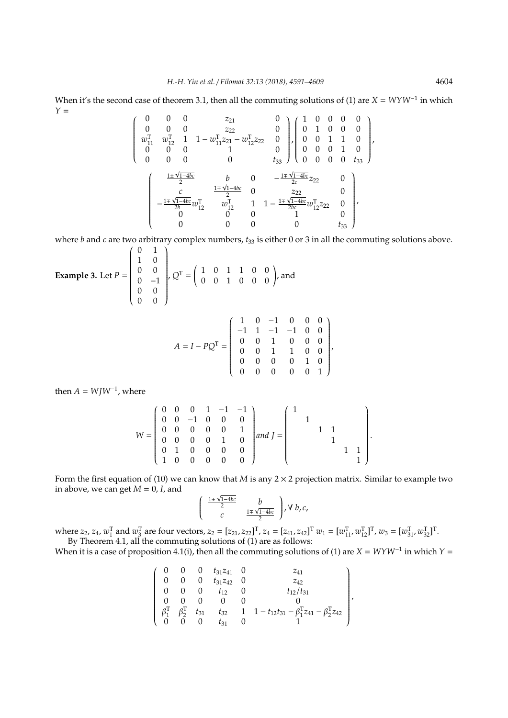When it's the second case of theorem 3.1, then all the commuting solutions of (1) are  $X = WYW^{-1}$  in which  $Y =$ 

$$
\begin{pmatrix}\n0 & 0 & 0 & z_{21} & 0 \\
0 & 0 & 0 & z_{22} & 0 \\
w_{11}^T & w_{12}^T & 1 & 1 - w_{11}^T z_{21} - w_{12}^T z_{22} & 0 \\
0 & 0 & 0 & 1 & 0 \\
0 & 0 & 0 & 0 & t_{33}\n\end{pmatrix}\n\begin{pmatrix}\n1 & 0 & 0 & 0 & 0 \\
0 & 1 & 0 & 0 & 0 \\
0 & 0 & 1 & 1 & 0 \\
0 & 0 & 0 & 1 & 0 \\
0 & 0 & 0 & 0 & t_{33}\n\end{pmatrix},
$$
\n
$$
\begin{pmatrix}\n\frac{1 \pm \sqrt{1 - 4bc}}{2} & b & 0 & -\frac{1 \mp \sqrt{1 - 4bc}}{2c} z_{22} & 0 \\
-\frac{1 \mp \sqrt{1 - 4bc}}{2b}w_{12}^T & w_{12}^T & 1 & 1 - \frac{1 \mp \sqrt{1 - 4bc}}{2bc}w_{12}^T z_{22} & 0 \\
0 & 0 & 0 & 1 & 0 \\
0 & 0 & 0 & 0 & t_{33}\n\end{pmatrix},
$$

where *b* and *c* are two arbitrary complex numbers, *t*<sup>33</sup> is either 0 or 3 in all the commuting solutions above.

Example 3. Let 
$$
P = \begin{pmatrix} 0 & 1 \\ 1 & 0 \\ 0 & 0 \\ 0 & -1 \\ 0 & 0 \\ 0 & 0 \end{pmatrix}
$$
,  $Q^T = \begin{pmatrix} 1 & 0 & 1 & 1 & 0 & 0 \\ 0 & 0 & 1 & 0 & 0 & 0 \\ 0 & 0 & 1 & 0 & 0 & 0 \end{pmatrix}$ , and

$$
A = I - PQ^{T} = \begin{pmatrix} 1 & 0 & -1 & 0 & 0 & 0 \\ -1 & 1 & -1 & -1 & 0 & 0 \\ 0 & 0 & 1 & 0 & 0 & 0 \\ 0 & 0 & 1 & 1 & 0 & 0 \\ 0 & 0 & 0 & 0 & 1 & 0 \\ 0 & 0 & 0 & 0 & 0 & 1 \end{pmatrix},
$$

then  $A = W J W^{-1}$ , where

$$
W = \left(\begin{array}{cccccc} 0 & 0 & 0 & 1 & -1 & -1 \\ 0 & 0 & -1 & 0 & 0 & 0 \\ 0 & 0 & 0 & 0 & 0 & 1 \\ 0 & 0 & 0 & 0 & 1 & 0 \\ 0 & 1 & 0 & 0 & 0 & 0 \\ 1 & 0 & 0 & 0 & 0 & 0 \end{array}\right) and J = \left(\begin{array}{cccccc} 1 & & & & & \\ & 1 & & & & \\ & & 1 & 1 & & \\ & & & 1 & 1 & \\ & & & & 1 & 1 \\ & & & & & 1 \end{array}\right).
$$

Form the first equation of (10) we can know that *M* is any 2 × 2 projection matrix. Similar to example two in above, we can get  $M = 0$ , *I*, and

$$
\left(\begin{array}{cc}\frac{1\pm\sqrt{1-4bc}}{2}&b\\c&\frac{1\mp\sqrt{1-4bc}}{2}\end{array}\right), \forall\; b,c,
$$

where  $z_2$ ,  $z_4$ ,  $w_1^T$  and  $w_3^T$  are four vectors,  $z_2 = [z_{21}, z_{22}]^T$ ,  $z_4 = [z_{41}, z_{42}]^T w_1 = [w_{11}^T, w_{12}^T]^T$ ,  $w_3 = [w_{31}^T, w_{32}^T]^T$ .

By Theorem 4.1, all the commuting solutions of (1) are as follows: When it is a case of proposition 4.1(i), then all the commuting solutions of (1) are  $X = WYW^{-1}$  in which  $Y =$ 

$$
\left(\begin{array}{cccccc} 0 & 0 & 0 & t_{31}z_{41} & 0 & z_{41} \\ 0 & 0 & 0 & t_{31}z_{42} & 0 & z_{42} \\ 0 & 0 & 0 & t_{12} & 0 & t_{12}/t_{31} \\ 0 & 0 & 0 & 0 & 0 & 0 \\ \beta_1^T & \beta_2^T & t_{31} & t_{32} & 1 & 1-t_{12}t_{31} - \beta_1^T z_{41} - \beta_2^T z_{42} \\ 0 & 0 & 0 & t_{31} & 0 & 1 \end{array}\right),
$$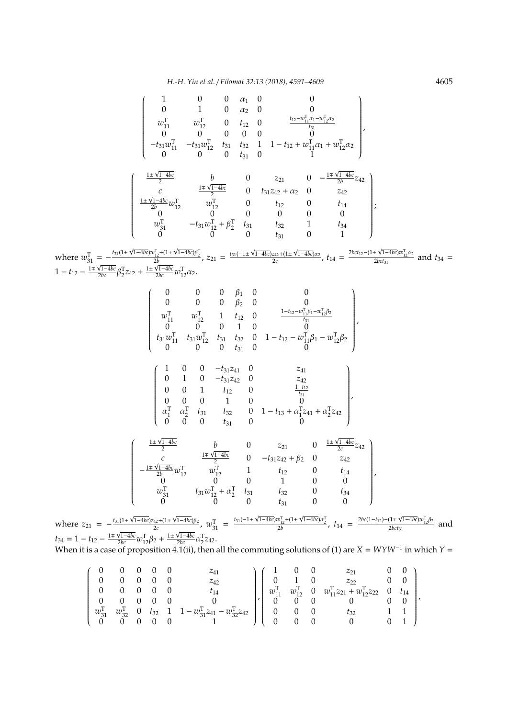$$
\begin{pmatrix}\n1 & 0 & 0 & \alpha_1 & 0 & 0 \\
0 & 1 & 0 & \alpha_2 & 0 & \frac{1}{10} \\
\frac{1}{10} & \frac{1}{10} & 0 & 0 & 0 & \frac{1-4\alpha_1^2 - 4\alpha_1^2 - 2\alpha_2^2}{16} \\
0 & 0 & 0 & 0 & 0 & \frac{1-4\alpha_1^2 - 4\alpha_1^2}{16} \\
-\frac{1+4\alpha_1^2 - 4\alpha_2^2}{16} & \frac{1}{10} & \frac{1}{10} & \frac{1}{10} & \frac{1}{10} \\
\frac{1+4\sqrt{1-46\alpha_2}}{2} & \frac{1}{10} & \frac{1}{10} & \frac{1}{10} & \frac{1}{10} & \frac{1}{10} \\
\frac{1+4\sqrt{1-46\alpha_2}}{2} & \frac{1}{10} & \frac{1}{10} & \frac{1}{10} & \frac{1}{10} & \frac{1}{10} & \frac{1}{10} \\
\frac{1+4\sqrt{1-46\alpha_2}}{2} & \frac{1+4\sqrt{1-46\alpha_2}}{2} & \frac{1}{10} & \frac{1}{10} & \frac{1}{10} & \frac{1}{10} & \frac{1}{10} \\
0 & 0 & 0 & 0 & 0 & 0 \\
0 & 0 & 0 & 0 & 0 & 0 \\
0 & 0 & 0 & 0 & 0 & 0 \\
0 & 0 & 0 & 0 & 0 & 0 \\
0 & 0 & 0 & 0 & 0 & 0 \\
0 & 0 & 0 & 0 & 0 & 0 \\
0 & 0 & 0 & 0 & 0 & 0 \\
0 & 0 & 0 & 0 & 0 & 0 \\
0 & 0 & 0 & 0 & 0 & 0 \\
0 & 0 & 0 & 0 & 0 & 0 \\
0 & 0 & 0 & 0 & 0 & 0 \\
0 & 0 & 0 & 0 & 0 & 0 \\
0 & 0 & 0 & 0 & 0 & 0 \\
0 & 0 & 0 & 0 & 0 & 0 \\
0 & 0 & 0 & 0 & 0 & 0 \\
0 & 0 & 0 & 0 & 0 & 0 \\
0 & 0 & 0 & 0 & 0 & 0 \\
0 & 0 & 0 & 0 & 0 & 0 \\
0 & 0 & 0
$$

1 − *t*<sup>12</sup> −

 $\frac{2bct_{31}}{2bct_{31}}$  and *t*<sub>34</sub> = 1 - *t*<sub>12</sub> -  $\frac{1 \pm \sqrt{1-4bc}}{2bc} w_{12}^T \beta_2 + \frac{1 \pm \sqrt{1-4bc}}{2bc} \alpha_2^T z_{42}$ . When it is a case of proposition  $4.\overline{1}$ (ii), then all the commuting solutions of (1) are *X* = *WYW*<sup>-1</sup> in which *Y* =

$$
\left(\begin{array}{ccccccccc} 0 & 0 & 0 & 0 & 0 & z_{41} & & \\ 0 & 0 & 0 & 0 & 0 & & z_{42} & \\ 0 & 0 & 0 & 0 & 0 & & t_{14} & \\ 0 & 0 & 0 & 0 & 0 & & 0 & 0 \\ w_{31}^T & w_{32}^T & 0 & t_{32} & 1 & 1-w_{31}^Tz_{41}-w_{32}^Tz_{42} & \end{array}\right)\left(\begin{array}{cccccc} 1 & 0 & 0 & z_{21} & 0 & 0 \\ 0 & 1 & 0 & z_{22} & 0 & 0 \\ w_{11}^T & w_{12}^T & 0 & w_{11}^Tz_{21}+w_{12}^Tz_{22} & 0 & t_{14} \\ 0 & 0 & 0 & 0 & & 0 & 0 \\ 0 & 0 & 0 & 0 & & t_{32} & & 1 & 1 \\ 0 & 0 & 0 & 0 & & 0 & & 1 \end{array}\right),
$$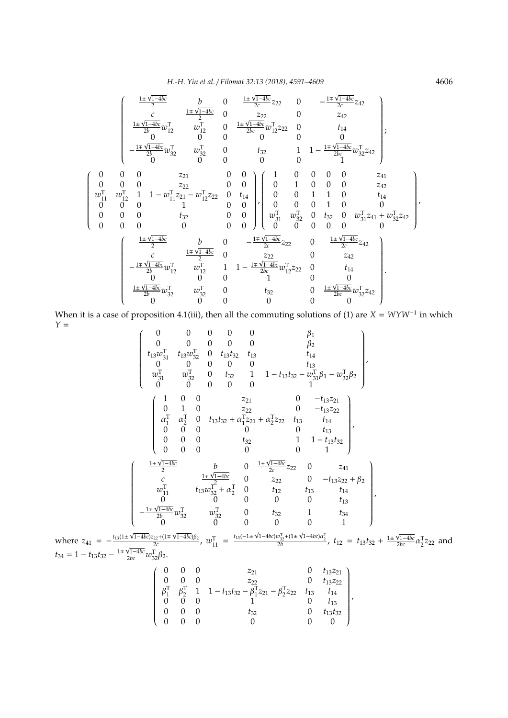*H.-H. Yin et al.* / *Filomat 32:13 (2018), 4591–4609* 4606

$$
\left(\begin{array}{cccccc} \frac{1\pm\sqrt{1-4bc}}{2} & b & 0 & \frac{1\pm\sqrt{1-4bc}}{2c}z_{22} & 0 & -\frac{1\mp\sqrt{1-4bc}}{2c}z_{42} \\ \frac{1\pm\sqrt{1-4bc}}{2b}w_{12}^T & w_{12}^T & 0 & \frac{1\pm\sqrt{1-4bc}}{2bc}w_{12}^Tz_{22} & 0 & t_{14} \\ 0 & 0 & 0 & 0 & 0 & 0 & 0 \\ -\frac{1\mp\sqrt{1-4bc}}{2b}w_{32}^T & w_{32}^T & 0 & t_{32} & 1 & 1-\frac{1\mp\sqrt{1-4bc}}{2bc}w_{32}^Tz_{42} \\ 0 & 0 & 0 & 0 & 0 & 1 \\ 0 & 0 & 0 & z_{21} & 0 & 0 & 0 & 0 \\ w_{11}^T & w_{12}^T & 1 & 1-w_{11}^Tz_{21} - w_{12}^Tz_{22} & 0 & t_{14} \\ 0 & 0 & 0 & 1 & 0 & 0 & 0 & 0 \\ 0 & 0 & 0 & 0 & 0 & 0 & 0 \end{array}\right) \left(\begin{array}{cccccc} 1 & 0 & 0 & 0 & 0 & z_{41} \\ 0 & 1 & 0 & 0 & 0 & 0 & z_{42} \\ 0 & 1 & 0 & 0 & 0 & 0 & 0 & 0 \\ 0 & 0 & 0 & 1 & 0 & 0 & 0 & 0 \\ 0 & 0 & 0 & 0 & 0 & 0 & 0 & 0 \\ 0 & 0 & 0 & 0 & 0 & 0 & 0 & 0 \end{array}\right) \left(\begin{array}{cccccc} 1 & 0 & 0 & 0 & 0 & z_{41} \\ 0 & 1 & 0 & 0 & 0 & 0 & z_{42} \\ 0 & 0 & 1 & 0 & 0 & 0 & 0 & 0 \\ 0 & 0 & 0 & 0 & 0 & 0 & 0 & 0 \\ 0 & 0 & 0 & 0 & 0 & 0 & 0 & 0 \\ 0 & 0 & 0 & 0 & 0 & 0 & 0 & 0 \end{array}\right) \left(\begin{array}{cccccc} 1 & 0 & 0 & 0 & 0 & z_{41} \\
$$

When it is a case of proposition 4.1(iii), then all the commuting solutions of (1) are  $X = WYW^{-1}$  in which *<sup>Y</sup>* <sup>=</sup>  $\lambda$ 

$$
\begin{pmatrix}\n0 & 0 & 0 & 0 & 0 & \beta_1 \\
0 & 0 & 0 & 0 & 0 & \beta_2 \\
t_{13}w_{31}^{\mathrm{T}} & t_{13}w_{32}^{\mathrm{T}} & 0 & t_{13}t_{32} & t_{14} \\
0 & 0 & 0 & 0 & 0 & 0 & t_{13} \\
w_{31}^{\mathrm{T}} & w_{32}^{\mathrm{T}} & 0 & t_{32} & 1 & 1-t_{13}t_{32} - w_{31}^{\mathrm{T}}\beta_1 - w_{32}^{\mathrm{T}}\beta_2 \\
\hline\n\begin{pmatrix}\n1 & 0 & 0 & z_{21} & 0 & -t_{13}z_{21} \\
0 & 1 & 0 & z_{22} & 0 & -t_{13}z_{21} \\
a_{1}^{\mathrm{T}} & a_{1}^{\mathrm{T}} & 0 & t_{13}t_{32} + a_{1}^{\mathrm{T}}z_{21} + a_{2}^{\mathrm{T}}z_{22} & t_{33} & t_{14} \\
0 & 0 & 0 & 0 & 0 & 0 & 1\n\end{pmatrix} \\
\hline\n\begin{pmatrix}\n1 & 0 & 0 & z_{21} & 0 & -t_{13}z_{21} \\
a_{1}^{\mathrm{T}} & a_{1}^{\mathrm{T}} & 0 & t_{13}z_{3} + a_{1}^{\mathrm{T}}z_{21} + a_{2}^{\mathrm{T}}z_{22} & t_{33} & t_{14} \\
0 & 0 & 0 & 0 & 0 & 0 & 1\n\end{pmatrix} \\
\hline\n\begin{pmatrix}\n\frac{1 \pm \sqrt{1-4b_{C}}}{2} & b & \frac{1 \pm \sqrt{1-4b_{C}}}{2c} & 0 & z_{21} & z_{11} \\
0 & 0 & 0 & 0 & 0 & 1 \\
0 & 0 & 0 & 0 & 0 & 1\n\end{pmatrix} \\
\text{where } z_{41} = -\frac{t_{13}(1 \pm \sqrt{1-4b_{C}})z_{2} + (1 \pm \sqrt{1-4b_{C}})z_{2}}{0}, w_{11}^{\mathrm{T}} = \frac{t_{13}(-1 \pm \sqrt{1-4b_{C}})w_{3}^{\mathrm{T}} + (1 \pm \sqrt{1-4b_{C}})z_{1}^{\mathrm{T}}}{2b}, t_{12} =
$$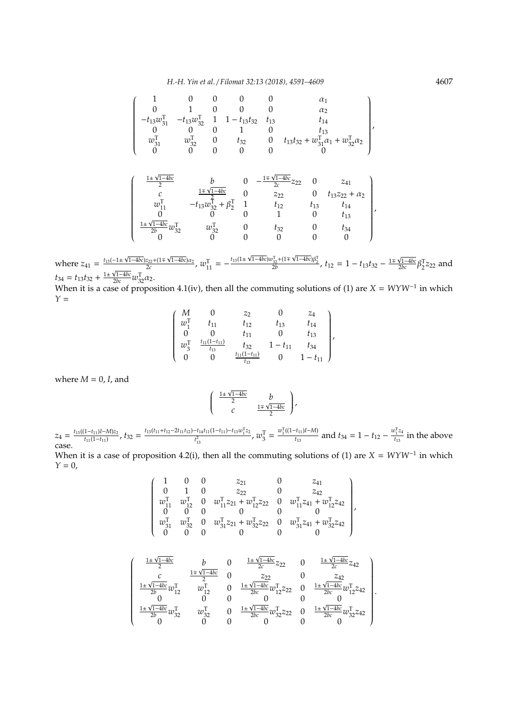$$
\left(\begin{array}{ccccccccc}\n1 & 0 & 0 & 0 & 0 & \alpha_1 \\
0 & 1 & 0 & 0 & 0 & \alpha_2 \\
-t_{13}w_{31}^{\mathrm{T}} & -t_{13}w_{32}^{\mathrm{T}} & 1 & 1-t_{13}t_{32} & t_{13} & t_{14} \\
0 & 0 & 0 & 1 & 0 & t_{13} \\
w_{31}^{\mathrm{T}} & w_{32}^{\mathrm{T}} & 0 & t_{32} & 0 & t_{13}t_{32} + w_{31}^{\mathrm{T}}\alpha_1 + w_{32}^{\mathrm{T}}\alpha_2 \\
0 & 0 & 0 & 0 & 0 & 0\n\end{array}\right)
$$

$$
\begin{array}{ccccccccc}\n\frac{1 \pm \sqrt{1-4bc}}{2} & b & 0 & -\frac{1 \mp \sqrt{1-4bc}}{2c} z_{22} & 0 & z_{41} \\
c & \frac{1 \mp \sqrt{1-4bc}}{2} & 0 & z_{22} & 0 & t_{13} z_{22} + \alpha_2 \\
w_{11}^T & -t_{13} w_{32}^T + \beta_2^T & 1 & t_{12} & t_{13} & t_{14} \\
0 & 0 & 0 & 1 & 0 & t_{13} \\
\frac{1 \pm \sqrt{1-4bc}}{2b} w_{32}^T & w_{32}^T & 0 & t_{32} & 0 & t_{34} \\
0 & 0 & 0 & 0 & 0 & 0\n\end{array}
$$

where  $z_{41} = \frac{t_{13}(-1 \pm \sqrt{1-4bc})z_{22} + (1 \mp \sqrt{1-4bc})\alpha_2}{2c}$  $\frac{1}{2c}$  +  $\frac{1}{2bc}$  +  $\frac{1}{2c}$  +  $\frac{1}{2bc}$  +  $\frac{1}{2b}$  +  $\frac{1}{2b}$  +  $\frac{1}{2b}$  +  $\frac{1}{2b}$  +  $\frac{1}{2b}$  +  $\frac{1}{2b}$  +  $\frac{1}{2b}$  +  $\frac{1}{2bc}$  +  $\frac{1}{2bc}$  +  $\frac{1}{2bc}$  +  $\frac{1}{2bc}$  +  $\frac{1}{2bc}$  +  $\frac{1}{2bc}$  +  $t_{34} = t_{13}t_{32} + \frac{1 \pm \sqrt{1-4bc}}{2bc}w_{32}^{\mathrm{T}}\alpha_2.$ 

When it is a case of proposition 4.1(iv), then all the commuting solutions of (1) are  $X = WYW^{-1}$  in which *Y* =

$$
\begin{pmatrix}\nM & 0 & z_2 & 0 & z_4 \\
w_1^T & t_{11} & t_{12} & t_{13} & t_{14} \\
0 & 0 & t_{11} & 0 & t_{13} \\
w_3^T & \frac{t_{11}(1-t_{11})}{t_{13}} & t_{32} & 1-t_{11} & t_{34} \\
0 & 0 & \frac{t_{11}(1-t_{11})}{t_{13}} & 0 & 1-t_{11}\n\end{pmatrix},
$$

where  $M = 0$ ,  $I$ , and

ĺ

$$
\begin{array}{cc}\n\frac{1\pm\sqrt{1-4bc}}{2} & b \\
c & \frac{1\mp\sqrt{1-4bc}}{2}\n\end{array}
$$

ĺ  $\overline{\mathcal{C}}$ 

 $z_4 = \frac{t_{13}((1-t_{11})I-M)z_2}{t_{11}(1-t_{11})}$  $\frac{t_{13}(t_{11}+t_{12}-2t_{11}t_{12})-t_{14}t_{11}(1-t_{11})-t_{13}w_1^Tz_2}{t_{11}(1-t_{11})}$  $w_1^{\text{T}} = \frac{w_1^{\text{T}}((1-t_{11})-t_{13}w_1^{\text{T}}z_2)}{t_{13}^2}, w_3^{\text{T}} = \frac{w_1^{\text{T}}((1-t_{11})-M)}{t_{13}}$  $\frac{t_{11}I - M_1}{t_{13}}$  and  $t_{34} = 1 - t_{12} - \frac{w_1^T z_4}{t_{13}}$  $t_{13}$  in the above case.

When it is a case of proposition 4.2(i), then all the commuting solutions of (1) are  $X = WYW^{-1}$  in which  $Y = 0$ ,

$$
\left(\begin{array}{cccccc} 1 & 0 & 0 & z_{21} & 0 & z_{41} \\ 0 & 1 & 0 & z_{22} & 0 & z_{42} \\ w_{11}^T & w_{12}^T & 0 & w_{11}^T z_{21} + w_{12}^T z_{22} & 0 & w_{11}^T z_{41} + w_{12}^T z_{42} \\ 0 & 0 & 0 & 0 & 0 & 0 \\ w_{31}^T & w_{32}^T & 0 & w_{31}^T z_{21} + w_{32}^T z_{22} & 0 & w_{31}^T z_{41} + w_{32}^T z_{42} \\ 0 & 0 & 0 & 0 & 0 & 0 \end{array}\right)
$$

$$
\left(\begin{array}{ccccccccc}\n\frac{1\pm\sqrt{1-4bc}}{2} & b & 0 & \frac{1\pm\sqrt{1-4bc}}{2c}z_{22} & 0 & \frac{1\pm\sqrt{1-4bc}}{2c}z_{42} \\
c & \frac{1\pm\sqrt{1-4bc}}{2}w_{12}^T & 0 & z_{22} & 0 & z_{42} \\
\frac{1\pm\sqrt{1-4bc}}{2b}w_{12}^T & w_{12}^T & 0 & \frac{1\pm\sqrt{1-4bc}}{2bc}w_{12}^Tz_{22} & 0 & \frac{1\pm\sqrt{1-4bc}}{2bc}w_{12}^Tz_{42} \\
0 & 0 & 0 & 0 & 0 & 0 \\
\frac{1\pm\sqrt{1-4bc}}{2b}w_{32}^T & w_{32}^T & 0 & \frac{1\pm\sqrt{1-4bc}}{2bc}w_{32}^Tz_{22} & 0 & \frac{1\pm\sqrt{1-4bc}}{2bc}w_{32}^Tz_{42} \\
0 & 0 & 0 & 0 & 0 & 0\n\end{array}\right)
$$

,

,

,

.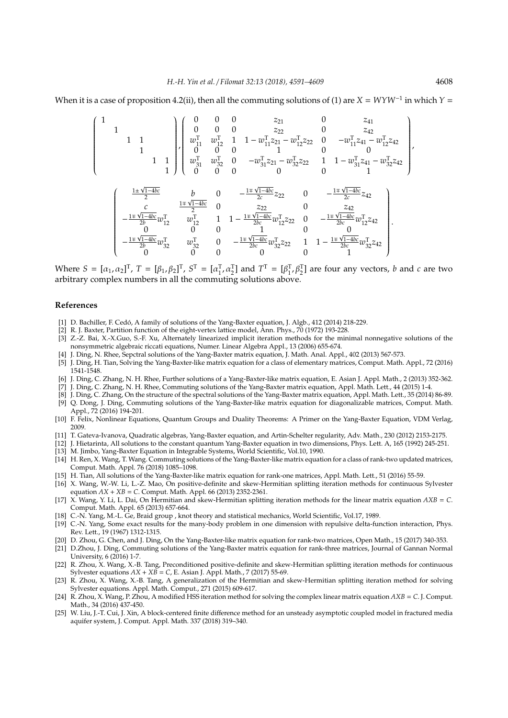When it is a case of proposition 4.2(ii), then all the commuting solutions of (1) are  $X = WYW^{-1}$  in which  $Y =$ 

1 1 1 1 1 1 1 1 , 0 0 0 *z*<sup>21</sup> 0 *z*<sup>41</sup> 0 0 0 *z*<sup>22</sup> 0 *z*<sup>42</sup> *w* T <sup>11</sup> *w* T <sup>12</sup> 1 1 <sup>−</sup> *<sup>w</sup>* T <sup>11</sup>*z*<sup>21</sup> <sup>−</sup> *<sup>w</sup>* T <sup>12</sup>*z*<sup>22</sup> <sup>0</sup> <sup>−</sup>*<sup>w</sup>* T <sup>11</sup>*z*<sup>41</sup> <sup>−</sup> *<sup>w</sup>* T <sup>12</sup>*z*<sup>42</sup> 0 0 0 1 0 0 *w* T <sup>31</sup> *w* T <sup>32</sup> <sup>0</sup> <sup>−</sup>*<sup>w</sup>* T <sup>31</sup>*z*<sup>21</sup> <sup>−</sup> *<sup>w</sup>* T <sup>32</sup>*z*<sup>22</sup> 1 1 <sup>−</sup> *<sup>w</sup>* T <sup>31</sup>*z*<sup>41</sup> <sup>−</sup> *<sup>w</sup>* T <sup>32</sup>*z*<sup>42</sup> 0 0 0 0 0 1 1± 1−4*bc* 2 *b* 0 − 1∓ 1−4*bc* 2*c z*<sup>22</sup> 0 − 1∓ 1−4*bc* 2*c z*<sup>42</sup> *c* 1∓ 1−4*bc* 2 0 *z*<sup>22</sup> 0 *z*<sup>42</sup> − 1∓ √ 1−4*bc* <sup>2</sup>*<sup>b</sup> w* T <sup>12</sup> *w* T <sup>12</sup> 1 1 <sup>−</sup> 1∓ 1−4*bc* <sup>2</sup>*bc w* T <sup>12</sup>*z*<sup>22</sup> <sup>0</sup> <sup>−</sup> 1∓ 1−4*bc* <sup>2</sup>*bc w* T <sup>12</sup>*z*<sup>42</sup> 0 0 0 1 0 0 − 1∓ √ 1−4*bc* <sup>2</sup>*<sup>b</sup> w* T <sup>32</sup> *w* T <sup>32</sup> <sup>0</sup> <sup>−</sup> 1∓ 1−4*bc* <sup>2</sup>*bc w* T <sup>32</sup>*z*<sup>22</sup> 1 1 <sup>−</sup> 1∓ 1−4*bc* <sup>2</sup>*bc w* T <sup>32</sup>*z*<sup>42</sup> 0 0 0 0 0 1 .

Where  $S = [\alpha_1, \alpha_2]^T$ ,  $T = [\beta_1, \beta_2]^T$ ,  $S^T = [\alpha_1^T, \alpha_2^T]$  and  $T^T = [\beta_1^T, \beta_2^T]$  are four any vectors, *b* and *c* are two arbitrary complex numbers in all the commuting solutions above.

#### **References**

ĺ

- [1] D. Bachiller, F. Cedo, A family of solutions of the Yang-Baxter equation, J. Algb., 412 (2014) 218-229. ´
- [2] R. J. Baxter, Partition function of the eight-vertex lattice model, Ann. Phys., 70 (1972) 193-228.
- [3] Z.-Z. Bai, X.-X.Guo, S.-F. Xu, Alternately linearized implicit iteration methods for the minimal nonnegative solutions of the nonsymmetric algebraic riccati equations, Numer. Linear Algebra Appl., 13 (2006) 655-674.
- [4] J. Ding, N. Rhee, Sepctral solutions of the Yang-Baxter matrix equation, J. Math. Anal. Appl., 402 (2013) 567-573.
- [5] J. Ding, H. Tian, Solving the Yang-Baxter-like matrix equation for a class of elementary matrices, Comput. Math. Appl., 72 (2016) 1541-1548.
- [6] J. Ding, C. Zhang, N. H. Rhee, Further solutions of a Yang-Baxter-like matrix equation, E. Asian J. Appl. Math., 2 (2013) 352-362.
- [7] J. Ding, C. Zhang, N. H. Rhee, Commuting solutions of the Yang-Baxter matrix equation, Appl. Math. Lett., 44 (2015) 1-4.
- [8] J. Ding, C. Zhang, On the structure of the spectral solutions of the Yang-Baxter matrix equation, Appl. Math. Lett., 35 (2014) 86-89. [9] Q. Dong, J. Ding, Commuting solutions of the Yang-Baxter-like matrix equation for diagonalizable matrices, Comput. Math.
- Appl., 72 (2016) 194-201. [10] F. Felix, Nonlinear Equations, Quantum Groups and Duality Theorems: A Primer on the Yang-Baxter Equation, VDM Verlag, 2009.
- [11] T. Gateva-Ivanova, Quadratic algebras, Yang-Baxter equation, and Artin-Schelter regularity, Adv. Math., 230 (2012) 2153-2175.
- [12] J. Hietarinta, All solutions to the constant quantum Yang-Baxter equation in two dimensions, Phys. Lett. A, 165 (1992) 245-251. [13] M. Jimbo, Yang-Baxter Equation in Integrable Systems, World Scientific, Vol.10, 1990.
- [14] H. Ren, X. Wang, T. Wang. Commuting solutions of the Yang-Baxter-like matrix equation for a class of rank-two updated matrices, Comput. Math. Appl. 76 (2018) 1085–1098.
- [15] H. Tian, All solutions of the Yang-Baxter-like matrix equation for rank-one matrices, Appl. Math. Lett., 51 (2016) 55-59.
- [16] X. Wang, W.-W. Li, L.-Z. Mao, On positive-definite and skew-Hermitian splitting iteration methods for continuous Sylvester equation *AX* + *XB* = *C*. Comput. Math. Appl. 66 (2013) 2352-2361.
- [17] X. Wang, Y. Li, L. Dai, On Hermitian and skew-Hermitian splitting iteration methods for the linear matrix equation *AXB* = *C*. Comput. Math. Appl. 65 (2013) 657-664.
- [18] C.-N. Yang, M.-L. Ge, Braid group , knot theory and statistical mechanics, World Scientific, Vol.17, 1989.
- [19] C.-N. Yang, Some exact results for the many-body problem in one dimension with repulsive delta-function interaction, Phys. Rev. Lett., 19 (1967) 1312-1315.
- [20] D. Zhou, G. Chen, and J. Ding, On the Yang-Baxter-like matrix equation for rank-two matrices, Open Math., 15 (2017) 340-353.
- [21] D.Zhou, J. Ding, Commuting solutions of the Yang-Baxter matrix equation for rank-three matrices, Journal of Gannan Normal University, 6 (2016) 1-7.
- [22] R. Zhou, X. Wang, X.-B. Tang, Preconditioned positive-definite and skew-Hermitian splitting iteration methods for continuous Sylvester equations *AX* + *XB* = *C*, E. Asian J. Appl. Math., 7 (2017) 55-69.
- [23] R. Zhou, X. Wang, X.-B. Tang, A generalization of the Hermitian and skew-Hermitian splitting iteration method for solving Sylvester equations. Appl. Math. Comput., 271 (2015) 609-617.
- [24] R. Zhou, X. Wang, P. Zhou, A modified HSS iteration method for solving the complex linear matrix equation *AXB* = *C*. J. Comput. Math., 34 (2016) 437-450.
- [25] W. Liu, J.-T. Cui, J. Xin, A block-centered finite difference method for an unsteady asymptotic coupled model in fractured media aquifer system, J. Comput. Appl. Math. 337 (2018) 319–340.

,